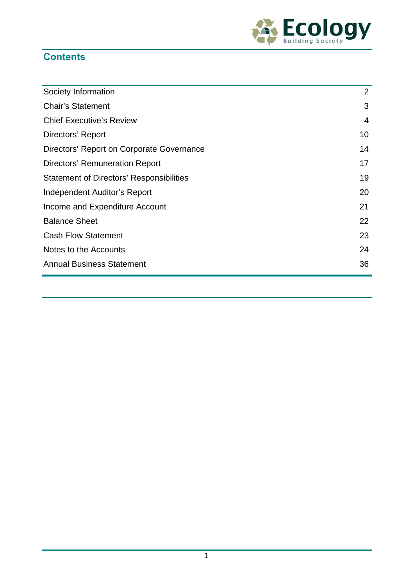

# **Contents**

| Society Information                             | 2  |
|-------------------------------------------------|----|
| <b>Chair's Statement</b>                        | 3  |
| <b>Chief Executive's Review</b>                 | 4  |
| Directors' Report                               | 10 |
| Directors' Report on Corporate Governance       | 14 |
| <b>Directors' Remuneration Report</b>           | 17 |
| <b>Statement of Directors' Responsibilities</b> | 19 |
| Independent Auditor's Report                    | 20 |
| Income and Expenditure Account                  | 21 |
| <b>Balance Sheet</b>                            | 22 |
| <b>Cash Flow Statement</b>                      | 23 |
| Notes to the Accounts                           | 24 |
| <b>Annual Business Statement</b>                | 36 |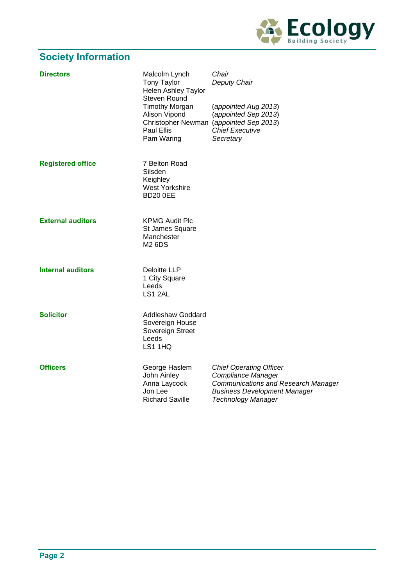

# **Society Information**

| <b>Directors</b>         | Malcolm Lynch<br><b>Tony Taylor</b><br><b>Helen Ashley Taylor</b><br>Steven Round<br><b>Timothy Morgan</b><br>Alison Vipond<br><b>Paul Ellis</b><br>Pam Waring | Chair<br>Deputy Chair<br>(appointed Aug 2013)<br>(appointed Sep 2013)<br>Christopher Newman (appointed Sep 2013)<br><b>Chief Executive</b><br>Secretary                |
|--------------------------|----------------------------------------------------------------------------------------------------------------------------------------------------------------|------------------------------------------------------------------------------------------------------------------------------------------------------------------------|
| <b>Registered office</b> | 7 Belton Road<br>Silsden<br>Keighley<br><b>West Yorkshire</b><br><b>BD20 0EE</b>                                                                               |                                                                                                                                                                        |
| <b>External auditors</b> | <b>KPMG Audit Plc</b><br>St James Square<br>Manchester<br><b>M2 6DS</b>                                                                                        |                                                                                                                                                                        |
| <b>Internal auditors</b> | <b>Deloitte LLP</b><br>1 City Square<br>Leeds<br>LS1 2AL                                                                                                       |                                                                                                                                                                        |
| <b>Solicitor</b>         | <b>Addleshaw Goddard</b><br>Sovereign House<br>Sovereign Street<br>Leeds<br>LS1 1HQ                                                                            |                                                                                                                                                                        |
| <b>Officers</b>          | George Haslem<br>John Ainley<br>Anna Laycock<br>Jon Lee<br><b>Richard Saville</b>                                                                              | <b>Chief Operating Officer</b><br>Compliance Manager<br><b>Communications and Research Manager</b><br><b>Business Development Manager</b><br><b>Technology Manager</b> |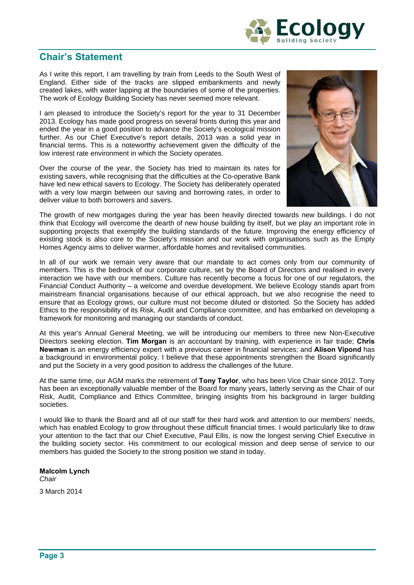

# **Chair's Statement**

As I write this report, I am travelling by train from Leeds to the South West of England. Either side of the tracks are slipped embankments and newly created lakes, with water lapping at the boundaries of some of the properties. The work of Ecology Building Society has never seemed more relevant.

I am pleased to introduce the Society's report for the year to 31 December 2013. Ecology has made good progress on several fronts during this year and ended the year in a good position to advance the Society's ecological mission further. As our Chief Executive's report details, 2013 was a solid year in financial terms. This is a noteworthy achievement given the difficulty of the low interest rate environment in which the Society operates.

Over the course of the year, the Society has tried to maintain its rates for existing savers, while recognising that the difficulties at the Co-operative Bank have led new ethical savers to Ecology. The Society has deliberately operated with a very low margin between our saving and borrowing rates, in order to deliver value to both borrowers and savers.



The growth of new mortgages during the year has been heavily directed towards new buildings. I do not think that Ecology will overcome the dearth of new house building by itself, but we play an important role in supporting projects that exemplify the building standards of the future. Improving the energy efficiency of existing stock is also core to the Society's mission and our work with organisations such as the Empty Homes Agency aims to deliver warmer, affordable homes and revitalised communities.

In all of our work we remain very aware that our mandate to act comes only from our community of members. This is the bedrock of our corporate culture, set by the Board of Directors and realised in every interaction we have with our members. Culture has recently become a focus for one of our regulators, the Financial Conduct Authority – a welcome and overdue development. We believe Ecology stands apart from mainstream financial organisations because of our ethical approach, but we also recognise the need to ensure that as Ecology grows, our culture must not become diluted or distorted. So the Society has added Ethics to the responsibility of its Risk, Audit and Compliance committee, and has embarked on developing a framework for monitoring and managing our standards of conduct.

At this year's Annual General Meeting, we will be introducing our members to three new Non-Executive Directors seeking election. **Tim Morgan** is an accountant by training, with experience in fair trade; **Chris Newman** is an energy efficiency expert with a previous career in financial services; and **Alison Vipond** has a background in environmental policy. I believe that these appointments strengthen the Board significantly and put the Society in a very good position to address the challenges of the future.

At the same time, our AGM marks the retirement of **Tony Taylor**, who has been Vice Chair since 2012. Tony has been an exceptionally valuable member of the Board for many years, latterly serving as the Chair of our Risk, Audit, Compliance and Ethics Committee, bringing insights from his background in larger building societies.

I would like to thank the Board and all of our staff for their hard work and attention to our members' needs, which has enabled Ecology to grow throughout these difficult financial times. I would particularly like to draw your attention to the fact that our Chief Executive, Paul Ellis, is now the longest serving Chief Executive in the building society sector. His commitment to our ecological mission and deep sense of service to our members has guided the Society to the strong position we stand in today.

#### **Malcolm Lynch**

*Chair*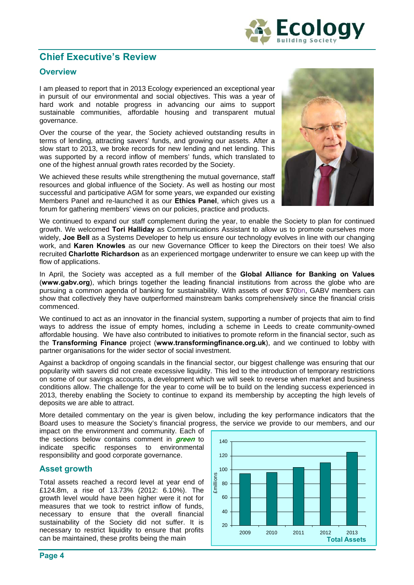

# **Chief Executive's Review**

# **Overview**

I am pleased to report that in 2013 Ecology experienced an exceptional year in pursuit of our environmental and social objectives. This was a year of hard work and notable progress in advancing our aims to support sustainable communities, affordable housing and transparent mutual governance.

Over the course of the year, the Society achieved outstanding results in terms of lending, attracting savers' funds, and growing our assets. After a slow start to 2013, we broke records for new lending and net lending. This was supported by a record inflow of members' funds, which translated to one of the highest annual growth rates recorded by the Society.

We achieved these results while strengthening the mutual governance, staff resources and global influence of the Society. As well as hosting our most successful and participative AGM for some years, we expanded our existing Members Panel and re-launched it as our **Ethics Panel**, which gives us a forum for gathering members' views on our policies, practice and products.



We continued to expand our staff complement during the year, to enable the Society to plan for continued growth. We welcomed **Tori Halliday** as Communications Assistant to allow us to promote ourselves more widely, **Joe Bell** as a Systems Developer to help us ensure our technology evolves in line with our changing work, and **Karen Knowles** as our new Governance Officer to keep the Directors on their toes! We also recruited **Charlotte Richardson** as an experienced mortgage underwriter to ensure we can keep up with the flow of applications.

In April, the Society was accepted as a full member of the **Global Alliance for Banking on Values**  (**www.gabv.org**), which brings together the leading financial institutions from across the globe who are pursuing a common agenda of banking for sustainability. With assets of over \$70bn, GABV members can show that collectively they have outperformed mainstream banks comprehensively since the financial crisis commenced.

We continued to act as an innovator in the financial system, supporting a number of projects that aim to find ways to address the issue of empty homes, including a scheme in Leeds to create community-owned affordable housing. We have also contributed to initiatives to promote reform in the financial sector, such as the **Transforming Finance** project (**www.transformingfinance.org.uk**), and we continued to lobby with partner organisations for the wider sector of social investment.

Against a backdrop of ongoing scandals in the financial sector, our biggest challenge was ensuring that our popularity with savers did not create excessive liquidity. This led to the introduction of temporary restrictions on some of our savings accounts, a development which we will seek to reverse when market and business conditions allow. The challenge for the year to come will be to build on the lending success experienced in 2013, thereby enabling the Society to continue to expand its membership by accepting the high levels of deposits we are able to attract.

More detailed commentary on the year is given below, including the key performance indicators that the Board uses to measure the Society's financial progress, the service we provide to our members, and our

impact on the environment and community. Each of the sections below contains comment in **green** to indicate specific responses to environmental responsibility and good corporate governance.

### **Asset growth**

Total assets reached a record level at year end of £124.8m, a rise of 13.73% (2012: 6.10%). The growth level would have been higher were it not for measures that we took to restrict inflow of funds, necessary to ensure that the overall financial sustainability of the Society did not suffer. It is necessary to restrict liquidity to ensure that profits can be maintained, these profits being the main

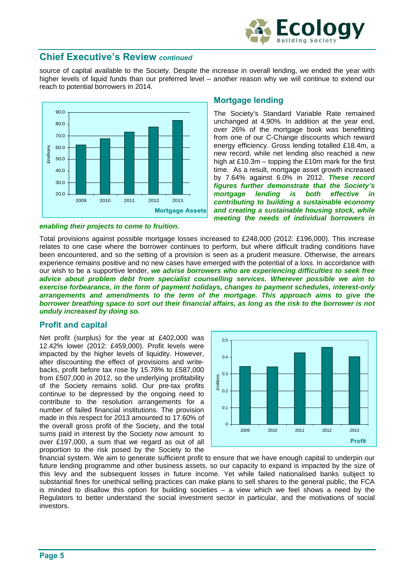

# **Chief Executive's Review** *continued*

source of capital available to the Society. Despite the increase in overall lending, we ended the year with higher levels of liquid funds than our preferred level – another reason why we will continue to extend our reach to potential borrowers in 2014.



#### *enabling their projects to come to fruition.*

### **Mortgage lending**

The Society's Standard Variable Rate remained unchanged at 4.90%. In addition at the year end, over 26% of the mortgage book was benefitting from one of our C-Change discounts which reward energy efficiency. Gross lending totalled £18.4m, a new record, while net lending also reached a new high at £10.3m – topping the £10m mark for the first time. As a result, mortgage asset growth increased by 7.64% against 6.0% in 2012. *These record figures further demonstrate that the Society's mortgage lending is both effective in contributing to building a sustainable economy and creating a sustainable housing stock, while meeting the needs of individual borrowers in* 

Total provisions against possible mortgage losses increased to £248,000 (2012: £196,000). This increase relates to one case where the borrower continues to perform, but where difficult trading conditions have been encountered, and so the setting of a provision is seen as a prudent measure. Otherwise, the arrears experience remains positive and no new cases have emerged with the potential of a loss. In accordance with our wish to be a supportive lender, *we advise borrowers who are experiencing difficulties to seek free advice about problem debt from specialist counselling services. Wherever possible we aim to exercise forbearance, in the form of payment holidays, changes to payment schedules, interest-only arrangements and amendments to the term of the mortgage. This approach aims to give the borrower breathing space to sort out their financial affairs, as long as the risk to the borrower is not unduly increased by doing so.*

### **Profit and capital**

Net profit (surplus) for the year at £402,000 was 12.42% lower (2012: £459,000). Profit levels were impacted by the higher levels of liquidity. However, after discounting the effect of provisions and writebacks, profit before tax rose by 15.78% to £587,000 from £507,000 in 2012, so the underlying profitability of the Society remains solid. Our pre-tax profits continue to be depressed by the ongoing need to contribute to the resolution arrangements for a number of failed financial institutions. The provision made in this respect for 2013 amounted to 17.60% of the overall gross profit of the Society, and the total sums paid in interest by the Society now amount to over £197,000, a sum that we regard as out of all proportion to the risk posed by the Society to the



financial system. We aim to generate sufficient profit to ensure that we have enough capital to underpin our future lending programme and other business assets, so our capacity to expand is impacted by the size of this levy and the subsequent losses in future income. Yet while failed nationalised banks subject to substantial fines for unethical selling practices can make plans to sell shares to the general public, the FCA is minded to disallow this option for building societies – a view which we feel shows a need by the Regulators to better understand the social investment sector in particular, and the motivations of social investors.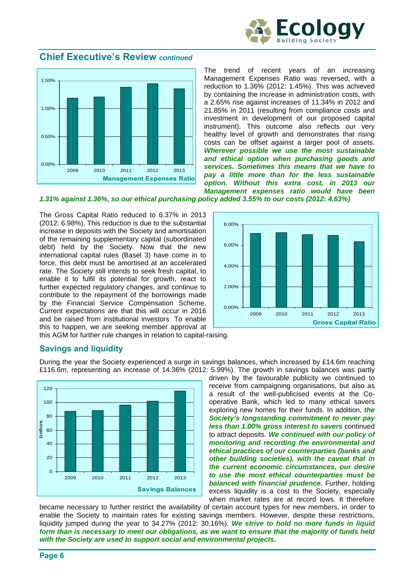



The trend of recent years of an increasing Management Expenses Ratio was reversed, with a reduction to 1.36% (2012: 1.45%). This was achieved by containing the increase in administration costs, with a 2.65% rise against increases of 11.34% in 2012 and 21.85% in 2011 (resulting from compliance costs and investment in development of our proposed capital instrument). This outcome also reflects our very healthy level of growth and demonstrates that rising costs can be offset against a larger pool of assets. *Wherever possible we use the most sustainable and ethical option when purchasing goods and services. Sometimes this means that we have to pay a little more than for the less sustainable option. Without this extra cost, in 2013 our Management expenses ratio would have been* 

*1.31% against 1.36%, so our ethical purchasing policy added 3.55% to our costs (2012: 4.63%)* 

The Gross Capital Ratio reduced to 6.37% in 2013 (2012: 6.98%). This reduction is due to the substantial increase in deposits with the Society and amortisation of the remaining supplementary capital (subordinated debt) held by the Society. Now that the new international capital rules (Basel 3) have come in to force, this debt must be amortised at an accelerated rate. The Society still intends to seek fresh capital, to enable it to fulfil its potential for growth, react to further expected regulatory changes, and continue to contribute to the repayment of the borrowings made by the Financial Service Compensation Scheme. Current expectations are that this will occur in 2016 and be raised from institutional investors. To enable this to happen, we are seeking member approval at



this AGM for further rule changes in relation to capital-raising.

### **Savings and liquidity**

During the year the Society experienced a surge in savings balances, which increased by £14.6m reaching £116.6m, representing an increase of 14.36% (2012: 5.99%). The growth in savings balances was partly



driven by the favourable publicity we continued to receive from campaigning organisations, but also as a result of the well-publicised events at the Cooperative Bank, which led to many ethical savers exploring new homes for their funds. In addition, *the Society's longstanding commitment to never pay less than 1.00% gross interest to savers* continued to attract deposits. *We continued with our policy of monitoring and recording the environmental and ethical practices of our counterparties (banks and other building societies), with the caveat that in the current economic circumstances, our desire to use the most ethical counterparties must be balanced with financial prudence.* Further, holding excess liquidity is a cost to the Society, especially when market rates are at record lows. It therefore

became necessary to further restrict the availability of certain account types for new members, in order to enable the Society to maintain rates for existing savings members. However, despite these restrictions, liquidity jumped during the year to 34.27% (2012: 30.16%). *We strive to hold no more funds in liquid form than is necessary to meet our obligations, as we want to ensure that the majority of funds held with the Society are used to support social and environmental projects***.**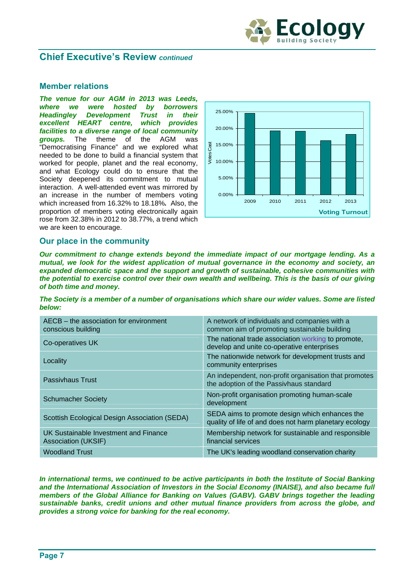

# **Chief Executive's Review** *continued*

### **Member relations**

*The venue for our AGM in 2013 was Leeds, where we were hosted by borrowers Headingley Development Trust in their excellent HEART centre, which provides facilities to a diverse range of local community groups.* The theme of the AGM was "Democratising Finance" and we explored what needed to be done to build a financial system that worked for people, planet and the real economy, and what Ecology could do to ensure that the Society deepened its commitment to mutual interaction. A well-attended event was mirrored by an increase in the number of members voting which increased from 16.32% to 18.18%*.* Also, the proportion of members voting electronically again rose from 32.38% in 2012 to 38.77%, a trend which we are keen to encourage.



### **Our place in the community**

*Our commitment to change extends beyond the immediate impact of our mortgage lending. As a mutual, we look for the widest application of mutual governance in the economy and society, an expanded democratic space and the support and growth of sustainable, cohesive communities with the potential to exercise control over their own wealth and wellbeing. This is the basis of our giving of both time and money.* 

*The Society is a member of a number of organisations which share our wider values. Some are listed below:* 

| AECB – the association for environment<br>conscious building | A network of individuals and companies with a<br>common aim of promoting sustainable building            |
|--------------------------------------------------------------|----------------------------------------------------------------------------------------------------------|
| Co-operatives UK                                             | The national trade association working to promote,<br>develop and unite co-operative enterprises         |
| Locality                                                     | The nationwide network for development trusts and<br>community enterprises                               |
| Passivhaus Trust                                             | An independent, non-profit organisation that promotes<br>the adoption of the Passivhaus standard         |
| <b>Schumacher Society</b>                                    | Non-profit organisation promoting human-scale<br>development                                             |
| Scottish Ecological Design Association (SEDA)                | SEDA aims to promote design which enhances the<br>quality of life of and does not harm planetary ecology |
| UK Sustainable Investment and Finance<br>Association (UKSIF) | Membership network for sustainable and responsible<br>financial services                                 |
| <b>Woodland Trust</b>                                        | The UK's leading woodland conservation charity                                                           |

*In international terms, we continued to be active participants in both the Institute of Social Banking and the International Association of Investors in the Social Economy (INAISE), and also became full members of the Global Alliance for Banking on Values (GABV). GABV brings together the leading sustainable banks, credit unions and other mutual finance providers from across the globe, and provides a strong voice for banking for the real economy.*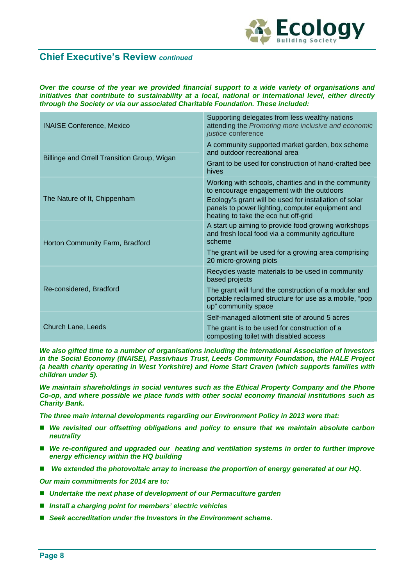

# **Chief Executive's Review** *continued*

*Over the course of the year we provided financial support to a wide variety of organisations and initiatives that contribute to sustainability at a local, national or international level, either directly through the Society or via our associated Charitable Foundation. These included:* 

| <b>INAISE Conference, Mexico</b>            | Supporting delegates from less wealthy nations<br>attending the Promoting more inclusive and economic<br>justice conference                                                                                                                             |
|---------------------------------------------|---------------------------------------------------------------------------------------------------------------------------------------------------------------------------------------------------------------------------------------------------------|
| Billinge and Orrell Transition Group, Wigan | A community supported market garden, box scheme<br>and outdoor recreational area                                                                                                                                                                        |
|                                             | Grant to be used for construction of hand-crafted bee<br>hives                                                                                                                                                                                          |
| The Nature of It, Chippenham                | Working with schools, charities and in the community<br>to encourage engagement with the outdoors<br>Ecology's grant will be used for installation of solar<br>panels to power lighting, computer equipment and<br>heating to take the eco hut off-grid |
| Horton Community Farm, Bradford             | A start up aiming to provide food growing workshops<br>and fresh local food via a community agriculture<br>scheme                                                                                                                                       |
|                                             | The grant will be used for a growing area comprising<br>20 micro-growing plots                                                                                                                                                                          |
|                                             | Recycles waste materials to be used in community<br>based projects                                                                                                                                                                                      |
| Re-considered, Bradford                     | The grant will fund the construction of a modular and<br>portable reclaimed structure for use as a mobile, "pop<br>up" community space                                                                                                                  |
|                                             | Self-managed allotment site of around 5 acres                                                                                                                                                                                                           |
| Church Lane, Leeds                          | The grant is to be used for construction of a<br>composting toilet with disabled access                                                                                                                                                                 |

*We also gifted time to a number of organisations including the International Association of Investors in the Social Economy (INAISE), Passivhaus Trust, Leeds Community Foundation, the HALE Project (a health charity operating in West Yorkshire) and Home Start Craven (which supports families with children under 5).* 

*We maintain shareholdings in social ventures such as the Ethical Property Company and the Phone Co-op, and where possible we place funds with other social economy financial institutions such as Charity Bank.* 

*The three main internal developments regarding our Environment Policy in 2013 were that:* 

- We revisited our offsetting obligations and policy to ensure that we maintain absolute carbon *neutrality*
- We re-configured and upgraded our heating and ventilation systems in order to further improve *energy efficiency within the HQ building*
- *We extended the photovoltaic array to increase the proportion of energy generated at our HQ.*

*Our main commitments for 2014 are to:* 

- Undertake the next phase of development of our Permaculture garden
- Install a charging point for members' electric vehicles
- Seek accreditation under the Investors in the Environment scheme.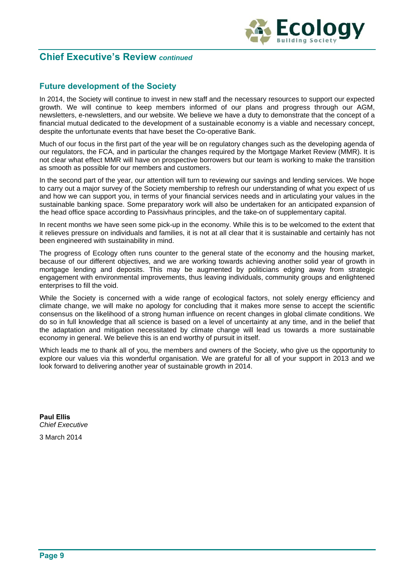



# **Future development of the Society**

In 2014, the Society will continue to invest in new staff and the necessary resources to support our expected growth. We will continue to keep members informed of our plans and progress through our AGM, newsletters, e-newsletters, and our website. We believe we have a duty to demonstrate that the concept of a financial mutual dedicated to the development of a sustainable economy is a viable and necessary concept, despite the unfortunate events that have beset the Co-operative Bank.

Much of our focus in the first part of the year will be on regulatory changes such as the developing agenda of our regulators, the FCA, and in particular the changes required by the Mortgage Market Review (MMR). It is not clear what effect MMR will have on prospective borrowers but our team is working to make the transition as smooth as possible for our members and customers.

In the second part of the year, our attention will turn to reviewing our savings and lending services. We hope to carry out a major survey of the Society membership to refresh our understanding of what you expect of us and how we can support you, in terms of your financial services needs and in articulating your values in the sustainable banking space. Some preparatory work will also be undertaken for an anticipated expansion of the head office space according to Passivhaus principles, and the take-on of supplementary capital.

In recent months we have seen some pick-up in the economy. While this is to be welcomed to the extent that it relieves pressure on individuals and families, it is not at all clear that it is sustainable and certainly has not been engineered with sustainability in mind.

The progress of Ecology often runs counter to the general state of the economy and the housing market, because of our different objectives, and we are working towards achieving another solid year of growth in mortgage lending and deposits. This may be augmented by politicians edging away from strategic engagement with environmental improvements, thus leaving individuals, community groups and enlightened enterprises to fill the void.

While the Society is concerned with a wide range of ecological factors, not solely energy efficiency and climate change, we will make no apology for concluding that it makes more sense to accept the scientific consensus on the likelihood of a strong human influence on recent changes in global climate conditions. We do so in full knowledge that all science is based on a level of uncertainty at any time, and in the belief that the adaptation and mitigation necessitated by climate change will lead us towards a more sustainable economy in general. We believe this is an end worthy of pursuit in itself.

Which leads me to thank all of you, the members and owners of the Society, who give us the opportunity to explore our values via this wonderful organisation. We are grateful for all of your support in 2013 and we look forward to delivering another year of sustainable growth in 2014.

**Paul Ellis** *Chief Executive*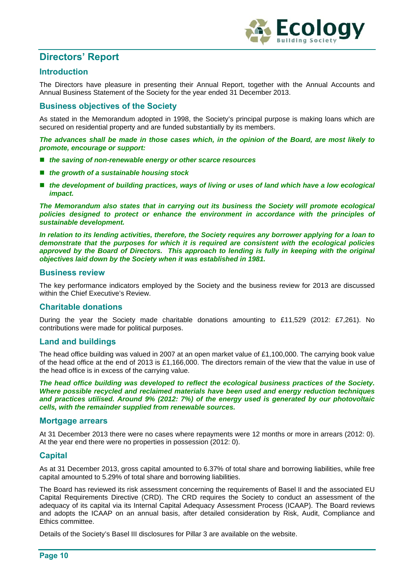

# **Directors' Report**

# **Introduction**

The Directors have pleasure in presenting their Annual Report, together with the Annual Accounts and Annual Business Statement of the Society for the year ended 31 December 2013.

## **Business objectives of the Society**

As stated in the Memorandum adopted in 1998, the Society's principal purpose is making loans which are secured on residential property and are funded substantially by its members.

*The advances shall be made in those cases which, in the opinion of the Board, are most likely to promote, encourage or support:* 

- the saving of non-renewable energy or other scarce resources
- *the growth of a sustainable housing stock*
- the development of building practices, ways of living or uses of land which have a low ecological *impact.*

*The Memorandum also states that in carrying out its business the Society will promote ecological*  policies designed to protect or enhance the environment in accordance with the principles of *sustainable development.* 

*In relation to its lending activities, therefore, the Society requires any borrower applying for a loan to demonstrate that the purposes for which it is required are consistent with the ecological policies*  approved by the Board of Directors. This approach to lending is fully in keeping with the original *objectives laid down by the Society when it was established in 1981.* 

### **Business review**

The key performance indicators employed by the Society and the business review for 2013 are discussed within the Chief Executive's Review.

### **Charitable donations**

During the year the Society made charitable donations amounting to £11,529 (2012: £7,261). No contributions were made for political purposes.

#### **Land and buildings**

The head office building was valued in 2007 at an open market value of £1,100,000. The carrying book value of the head office at the end of 2013 is £1,166,000. The directors remain of the view that the value in use of the head office is in excess of the carrying value.

*The head office building was developed to reflect the ecological business practices of the Society. Where possible recycled and reclaimed materials have been used and energy reduction techniques and practices utilised. Around 9% (2012: 7%) of the energy used is generated by our photovoltaic cells, with the remainder supplied from renewable sources.* 

#### **Mortgage arrears**

At 31 December 2013 there were no cases where repayments were 12 months or more in arrears (2012: 0). At the year end there were no properties in possession (2012: 0).

### **Capital**

As at 31 December 2013, gross capital amounted to 6.37% of total share and borrowing liabilities, while free capital amounted to 5.29% of total share and borrowing liabilities.

The Board has reviewed its risk assessment concerning the requirements of Basel II and the associated EU Capital Requirements Directive (CRD). The CRD requires the Society to conduct an assessment of the adequacy of its capital via its Internal Capital Adequacy Assessment Process (ICAAP). The Board reviews and adopts the ICAAP on an annual basis, after detailed consideration by Risk, Audit, Compliance and Ethics committee.

Details of the Society's Basel III disclosures for Pillar 3 are available on the website.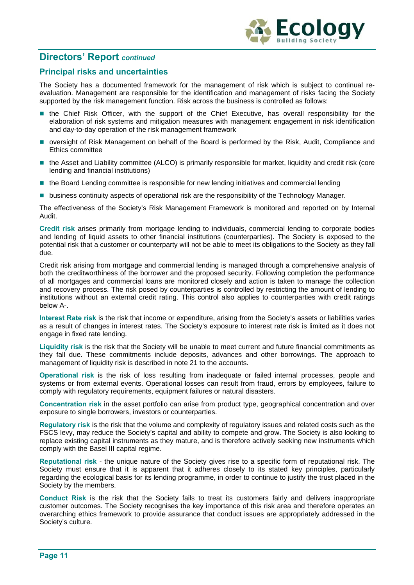

# **Directors' Report** *continued*

# **Principal risks and uncertainties**

The Society has a documented framework for the management of risk which is subject to continual reevaluation. Management are responsible for the identification and management of risks facing the Society supported by the risk management function. Risk across the business is controlled as follows:

- **the Chief Risk Officer, with the support of the Chief Executive, has overall responsibility for the** elaboration of risk systems and mitigation measures with management engagement in risk identification and day-to-day operation of the risk management framework
- oversight of Risk Management on behalf of the Board is performed by the Risk, Audit, Compliance and Ethics committee
- the Asset and Liability committee (ALCO) is primarily responsible for market, liquidity and credit risk (core lending and financial institutions)
- the Board Lending committee is responsible for new lending initiatives and commercial lending
- **business continuity aspects of operational risk are the responsibility of the Technology Manager.**

The effectiveness of the Society's Risk Management Framework is monitored and reported on by Internal Audit.

**Credit risk** arises primarily from mortgage lending to individuals, commercial lending to corporate bodies and lending of liquid assets to other financial institutions (counterparties). The Society is exposed to the potential risk that a customer or counterparty will not be able to meet its obligations to the Society as they fall due.

Credit risk arising from mortgage and commercial lending is managed through a comprehensive analysis of both the creditworthiness of the borrower and the proposed security. Following completion the performance of all mortgages and commercial loans are monitored closely and action is taken to manage the collection and recovery process. The risk posed by counterparties is controlled by restricting the amount of lending to institutions without an external credit rating. This control also applies to counterparties with credit ratings below A-.

**Interest Rate risk** is the risk that income or expenditure, arising from the Society's assets or liabilities varies as a result of changes in interest rates. The Society's exposure to interest rate risk is limited as it does not engage in fixed rate lending.

**Liquidity risk** is the risk that the Society will be unable to meet current and future financial commitments as they fall due. These commitments include deposits, advances and other borrowings. The approach to management of liquidity risk is described in note 21 to the accounts.

**Operational risk** is the risk of loss resulting from inadequate or failed internal processes, people and systems or from external events. Operational losses can result from fraud, errors by employees, failure to comply with regulatory requirements, equipment failures or natural disasters.

**Concentration risk** in the asset portfolio can arise from product type, geographical concentration and over exposure to single borrowers, investors or counterparties.

**Regulatory risk** is the risk that the volume and complexity of regulatory issues and related costs such as the FSCS levy, may reduce the Society's capital and ability to compete and grow. The Society is also looking to replace existing capital instruments as they mature, and is therefore actively seeking new instruments which comply with the Basel III capital regime.

**Reputational risk** - the unique nature of the Society gives rise to a specific form of reputational risk. The Society must ensure that it is apparent that it adheres closely to its stated key principles, particularly regarding the ecological basis for its lending programme, in order to continue to justify the trust placed in the Society by the members.

**Conduct Risk** is the risk that the Society fails to treat its customers fairly and delivers inappropriate customer outcomes. The Society recognises the key importance of this risk area and therefore operates an overarching ethics framework to provide assurance that conduct issues are appropriately addressed in the Society's culture.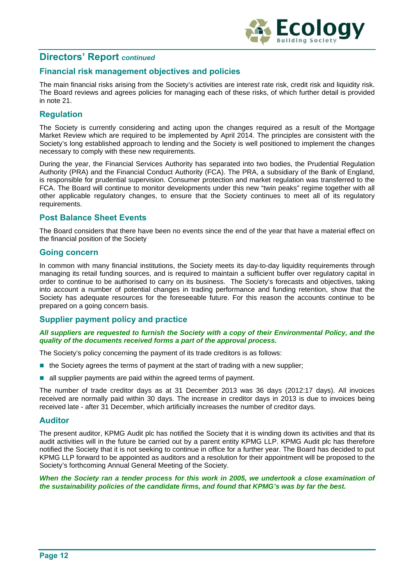

# **Directors' Report** *continued*

# **Financial risk management objectives and policies**

The main financial risks arising from the Society's activities are interest rate risk, credit risk and liquidity risk. The Board reviews and agrees policies for managing each of these risks, of which further detail is provided in note 21.

# **Regulation**

The Society is currently considering and acting upon the changes required as a result of the Mortgage Market Review which are required to be implemented by April 2014. The principles are consistent with the Society's long established approach to lending and the Society is well positioned to implement the changes necessary to comply with these new requirements.

During the year, the Financial Services Authority has separated into two bodies, the Prudential Regulation Authority (PRA) and the Financial Conduct Authority (FCA). The PRA, a subsidiary of the Bank of England, is responsible for prudential supervision. Consumer protection and market regulation was transferred to the FCA. The Board will continue to monitor developments under this new "twin peaks" regime together with all other applicable regulatory changes, to ensure that the Society continues to meet all of its regulatory requirements.

### **Post Balance Sheet Events**

The Board considers that there have been no events since the end of the year that have a material effect on the financial position of the Society

### **Going concern**

In common with many financial institutions, the Society meets its day-to-day liquidity requirements through managing its retail funding sources, and is required to maintain a sufficient buffer over regulatory capital in order to continue to be authorised to carry on its business. The Society's forecasts and objectives, taking into account a number of potential changes in trading performance and funding retention, show that the Society has adequate resources for the foreseeable future. For this reason the accounts continue to be prepared on a going concern basis.

### **Supplier payment policy and practice**

#### *All suppliers are requested to furnish the Society with a copy of their Environmental Policy, and the quality of the documents received forms a part of the approval process.*

The Society's policy concerning the payment of its trade creditors is as follows:

- the Society agrees the terms of payment at the start of trading with a new supplier;
- $\blacksquare$  all supplier payments are paid within the agreed terms of payment.

The number of trade creditor days as at 31 December 2013 was 36 days (2012:17 days). All invoices received are normally paid within 30 days. The increase in creditor days in 2013 is due to invoices being received late - after 31 December, which artificially increases the number of creditor days.

#### **Auditor**

The present auditor, KPMG Audit plc has notified the Society that it is winding down its activities and that its audit activities will in the future be carried out by a parent entity KPMG LLP. KPMG Audit plc has therefore notified the Society that it is not seeking to continue in office for a further year. The Board has decided to put KPMG LLP forward to be appointed as auditors and a resolution for their appointment will be proposed to the Society's forthcoming Annual General Meeting of the Society.

*When the Society ran a tender process for this work in 2005, we undertook a close examination of the sustainability policies of the candidate firms, and found that KPMG's was by far the best.*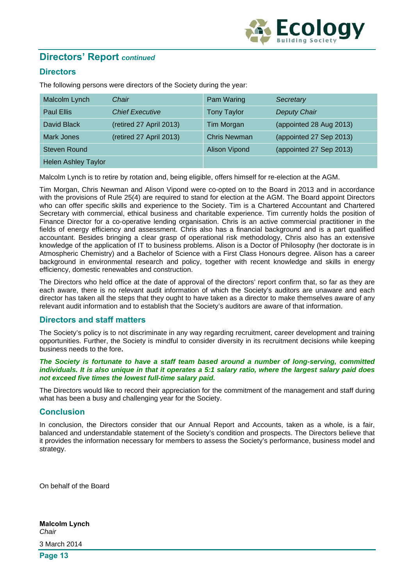

# **Directors' Report** *continued*

# **Directors**

The following persons were directors of the Society during the year:

| Malcolm Lynch              | Chair                   | Pam Waring           | Secretary               |
|----------------------------|-------------------------|----------------------|-------------------------|
| <b>Paul Ellis</b>          | <b>Chief Executive</b>  | <b>Tony Taylor</b>   | <b>Deputy Chair</b>     |
| David Black                | (retired 27 April 2013) | Tim Morgan           | (appointed 28 Aug 2013) |
| Mark Jones                 | (retired 27 April 2013) | <b>Chris Newman</b>  | (appointed 27 Sep 2013) |
| <b>Steven Round</b>        |                         | <b>Alison Vipond</b> | (appointed 27 Sep 2013) |
| <b>Helen Ashley Taylor</b> |                         |                      |                         |

Malcolm Lynch is to retire by rotation and, being eligible, offers himself for re-election at the AGM.

Tim Morgan, Chris Newman and Alison Vipond were co-opted on to the Board in 2013 and in accordance with the provisions of Rule 25(4) are required to stand for election at the AGM. The Board appoint Directors who can offer specific skills and experience to the Society. Tim is a Chartered Accountant and Chartered Secretary with commercial, ethical business and charitable experience. Tim currently holds the position of Finance Director for a co-operative lending organisation. Chris is an active commercial practitioner in the fields of energy efficiency and assessment. Chris also has a financial background and is a part qualified accountant. Besides bringing a clear grasp of operational risk methodology, Chris also has an extensive knowledge of the application of IT to business problems. Alison is a Doctor of Philosophy (her doctorate is in Atmospheric Chemistry) and a Bachelor of Science with a First Class Honours degree. Alison has a career background in environmental research and policy, together with recent knowledge and skills in energy efficiency, domestic renewables and construction.

The Directors who held office at the date of approval of the directors' report confirm that, so far as they are each aware, there is no relevant audit information of which the Society's auditors are unaware and each director has taken all the steps that they ought to have taken as a director to make themselves aware of any relevant audit information and to establish that the Society's auditors are aware of that information.

### **Directors and staff matters**

The Society's policy is to not discriminate in any way regarding recruitment, career development and training opportunities. Further, the Society is mindful to consider diversity in its recruitment decisions while keeping business needs to the fore**.** 

#### *The Society is fortunate to have a staff team based around a number of long-serving, committed individuals. It is also unique in that it operates a 5:1 salary ratio, where the largest salary paid does not exceed five times the lowest full-time salary paid.*

The Directors would like to record their appreciation for the commitment of the management and staff during what has been a busy and challenging year for the Society.

### **Conclusion**

In conclusion, the Directors consider that our Annual Report and Accounts, taken as a whole, is a fair, balanced and understandable statement of the Society's condition and prospects. The Directors believe that it provides the information necessary for members to assess the Society's performance, business model and strategy.

On behalf of the Board

**Malcolm Lynch** *Chair*  3 March 2014

**Page 13**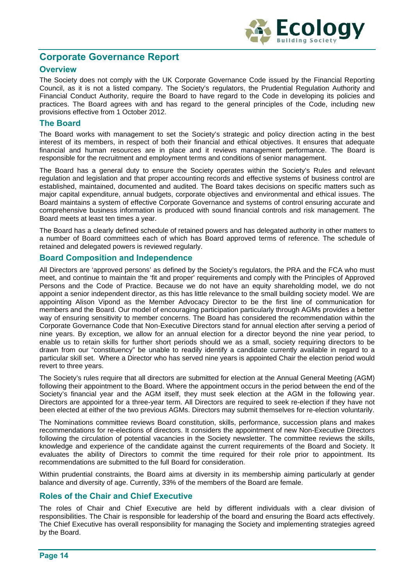

# **Corporate Governance Report**

# **Overview**

The Society does not comply with the UK Corporate Governance Code issued by the Financial Reporting Council, as it is not a listed company. The Society's regulators, the Prudential Regulation Authority and Financial Conduct Authority, require the Board to have regard to the Code in developing its policies and practices. The Board agrees with and has regard to the general principles of the Code, including new provisions effective from 1 October 2012.

### **The Board**

The Board works with management to set the Society's strategic and policy direction acting in the best interest of its members, in respect of both their financial and ethical objectives. It ensures that adequate financial and human resources are in place and it reviews management performance. The Board is responsible for the recruitment and employment terms and conditions of senior management.

The Board has a general duty to ensure the Society operates within the Society's Rules and relevant regulation and legislation and that proper accounting records and effective systems of business control are established, maintained, documented and audited. The Board takes decisions on specific matters such as major capital expenditure, annual budgets, corporate objectives and environmental and ethical issues. The Board maintains a system of effective Corporate Governance and systems of control ensuring accurate and comprehensive business information is produced with sound financial controls and risk management. The Board meets at least ten times a year.

The Board has a clearly defined schedule of retained powers and has delegated authority in other matters to a number of Board committees each of which has Board approved terms of reference. The schedule of retained and delegated powers is reviewed regularly.

### **Board Composition and Independence**

All Directors are 'approved persons' as defined by the Society's regulators, the PRA and the FCA who must meet, and continue to maintain the 'fit and proper' requirements and comply with the Principles of Approved Persons and the Code of Practice. Because we do not have an equity shareholding model, we do not appoint a senior independent director, as this has little relevance to the small building society model. We are appointing Alison Vipond as the Member Advocacy Director to be the first line of communication for members and the Board. Our model of encouraging participation particularly through AGMs provides a better way of ensuring sensitivity to member concerns. The Board has considered the recommendation within the Corporate Governance Code that Non-Executive Directors stand for annual election after serving a period of nine years. By exception, we allow for an annual election for a director beyond the nine year period, to enable us to retain skills for further short periods should we as a small, society requiring directors to be drawn from our "constituency" be unable to readily identify a candidate currently available in regard to a particular skill set. Where a Director who has served nine years is appointed Chair the election period would revert to three years.

The Society's rules require that all directors are submitted for election at the Annual General Meeting (AGM) following their appointment to the Board. Where the appointment occurs in the period between the end of the Society's financial year and the AGM itself, they must seek election at the AGM in the following year. Directors are appointed for a three-year term. All Directors are required to seek re-election if they have not been elected at either of the two previous AGMs. Directors may submit themselves for re-election voluntarily.

The Nominations committee reviews Board constitution, skills, performance, succession plans and makes recommendations for re-elections of directors. It considers the appointment of new Non-Executive Directors following the circulation of potential vacancies in the Society newsletter. The committee reviews the skills, knowledge and experience of the candidate against the current requirements of the Board and Society. It evaluates the ability of Directors to commit the time required for their role prior to appointment. Its recommendations are submitted to the full Board for consideration.

Within prudential constraints, the Board aims at diversity in its membership aiming particularly at gender balance and diversity of age. Currently, 33% of the members of the Board are female.

### **Roles of the Chair and Chief Executive**

The roles of Chair and Chief Executive are held by different individuals with a clear division of responsibilities. The Chair is responsible for leadership of the board and ensuring the Board acts effectively. The Chief Executive has overall responsibility for managing the Society and implementing strategies agreed by the Board.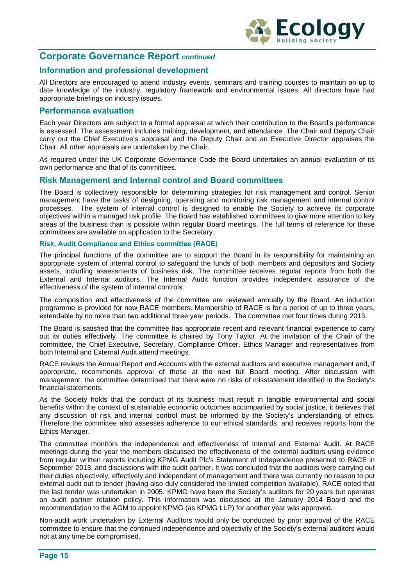

# **Corporate Governance Report** *continued*

### **Information and professional development**

All Directors are encouraged to attend industry events, seminars and training courses to maintain an up to date knowledge of the industry, regulatory framework and environmental issues. All directors have had appropriate briefings on industry issues.

### **Performance evaluation**

Each year Directors are subject to a formal appraisal at which their contribution to the Board's performance is assessed. The assessment includes training, development, and attendance. The Chair and Deputy Chair carry out the Chief Executive's appraisal and the Deputy Chair and an Executive Director appraises the Chair. All other appraisals are undertaken by the Chair.

As required under the UK Corporate Governance Code the Board undertakes an annual evaluation of its own performance and that of its committees.

### **Risk Management and Internal control and Board committees**

The Board is collectively responsible for determining strategies for risk management and control. Senior management have the tasks of designing, operating and monitoring risk management and internal control processes. The system of internal control is designed to enable the Society to achieve its corporate objectives within a managed risk profile. The Board has established committees to give more attention to key areas of the business than is possible within regular Board meetings. The full terms of reference for these committees are available on application to the Secretary.

#### **Risk, Audit Compliance and Ethics committee (RACE)**

The principal functions of the committee are to support the Board in its responsibility for maintaining an appropriate system of internal control to safeguard the funds of both members and depositors and Society assets, including assessments of business risk. The committee receives regular reports from both the External and Internal auditors. The Internal Audit function provides independent assurance of the effectiveness of the system of internal controls.

The composition and effectiveness of the committee are reviewed annually by the Board. An induction programme is provided for new RACE members. Membership of RACE is for a period of up to three years, extendable by no more than two additional three year periods. The committee met four times during 2013.

The Board is satisfied that the committee has appropriate recent and relevant financial experience to carry out its duties effectively. The committee is chaired by Tony Taylor. At the invitation of the Chair of the committee, the Chief Executive, Secretary, Compliance Officer, Ethics Manager and representatives from both Internal and External Audit attend meetings.

RACE reviews the Annual Report and Accounts with the external auditors and executive management and, if appropriate, recommends approval of these at the next full Board meeting. After discussion with management, the committee determined that there were no risks of misstatement identified in the Society's financial statements.

As the Society holds that the conduct of its business must result in tangible environmental and social benefits within the context of sustainable economic outcomes accompanied by social justice, it believes that any discussion of risk and internal control must be informed by the Society's understanding of ethics. Therefore the committee also assesses adherence to our ethical standards, and receives reports from the Ethics Manager.

The committee monitors the independence and effectiveness of Internal and External Audit. At RACE meetings during the year the members discussed the effectiveness of the external auditors using evidence from regular written reports including KPMG Audit Plc's Statement of Independence presented to RACE in September 2013, and discussions with the audit partner. It was concluded that the auditors were carrying out their duties objectively, effectively and independent of management and there was currently no reason to put external audit out to tender (having also duly considered the limited competition available). RACE noted that the last tender was undertaken in 2005. KPMG have been the Society's auditors for 20 years but operates an audit partner rotation policy. This information was discussed at the January 2014 Board and the recommendation to the AGM to appoint KPMG (as KPMG LLP) for another year was approved.

Non-audit work undertaken by External Auditors would only be conducted by prior approval of the RACE committee to ensure that the continued independence and objectivity of the Society's external auditors would not at any time be compromised.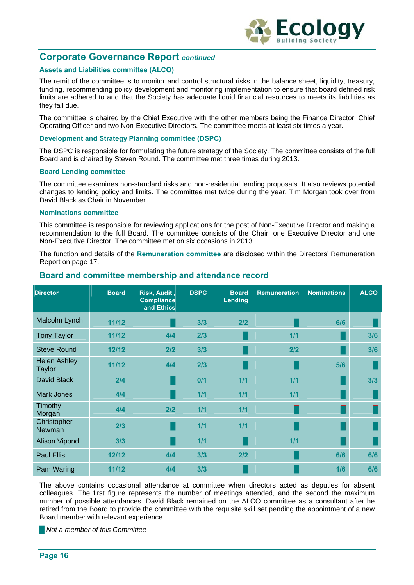

# **Corporate Governance Report** *continued*

#### **Assets and Liabilities committee (ALCO)**

The remit of the committee is to monitor and control structural risks in the balance sheet, liquidity, treasury, funding, recommending policy development and monitoring implementation to ensure that board defined risk limits are adhered to and that the Society has adequate liquid financial resources to meets its liabilities as they fall due.

The committee is chaired by the Chief Executive with the other members being the Finance Director, Chief Operating Officer and two Non-Executive Directors. The committee meets at least six times a year.

#### **Development and Strategy Planning committee (DSPC)**

The DSPC is responsible for formulating the future strategy of the Society. The committee consists of the full Board and is chaired by Steven Round. The committee met three times during 2013.

#### **Board Lending committee**

The committee examines non-standard risks and non-residential lending proposals. It also reviews potential changes to lending policy and limits. The committee met twice during the year. Tim Morgan took over from David Black as Chair in November.

#### **Nominations committee**

This committee is responsible for reviewing applications for the post of Non-Executive Director and making a recommendation to the full Board. The committee consists of the Chair, one Executive Director and one Non-Executive Director. The committee met on six occasions in 2013.

The function and details of the **Remuneration committee** are disclosed within the Directors' Remuneration Report on page 17.

| <b>Director</b>                      | <b>Board</b> | Risk, Audit,<br><b>Compliance</b><br>and Ethics | <b>DSPC</b> | <b>Board</b><br><b>Lending</b> | <b>Remuneration</b> | <b>Nominations</b> | <b>ALCO</b> |
|--------------------------------------|--------------|-------------------------------------------------|-------------|--------------------------------|---------------------|--------------------|-------------|
| Malcolm Lynch                        | 11/12        |                                                 | 3/3         | 2/2                            |                     | 6/6                |             |
| <b>Tony Taylor</b>                   | 11/12        | 4/4                                             | 2/3         |                                | $1/1$               |                    | 3/6         |
| <b>Steve Round</b>                   | 12/12        | 2/2                                             | 3/3         |                                | 2/2                 |                    | 3/6         |
| <b>Helen Ashley</b><br><b>Taylor</b> | 11/12        | 4/4                                             | 2/3         |                                |                     | 5/6                |             |
| David Black                          | 2/4          |                                                 | 0/1         | 1/1                            | $1/1$               |                    | 3/3         |
| <b>Mark Jones</b>                    | 4/4          |                                                 | 1/1         | 1/1                            | 1/1                 |                    |             |
| Timothy<br>Morgan                    | 4/4          | 2/2                                             | 1/1         | 1/1                            |                     |                    |             |
| Christopher<br>Newman                | 2/3          |                                                 | 1/1         | 1/1                            |                     |                    |             |
| <b>Alison Vipond</b>                 | 3/3          |                                                 | 1/1         |                                | $1/1$               |                    |             |
| <b>Paul Ellis</b>                    | 12/12        | 4/4                                             | 3/3         | 2/2                            |                     | 6/6                | 6/6         |
| Pam Waring                           | 11/12        | 4/4                                             | 3/3         |                                |                     | 1/6                | 6/6         |

### **Board and committee membership and attendance record**

The above contains occasional attendance at committee when directors acted as deputies for absent colleagues. The first figure represents the number of meetings attended, and the second the maximum number of possible attendances. David Black remained on the ALCO committee as a consultant after he retired from the Board to provide the committee with the requisite skill set pending the appointment of a new Board member with relevant experience.

**█** *Not a member of this Committee*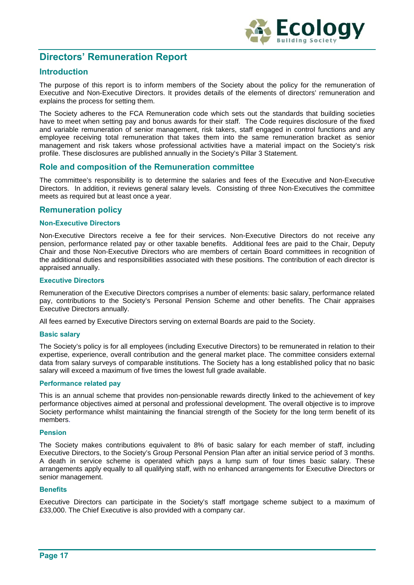

# **Directors' Remuneration Report**

# **Introduction**

The purpose of this report is to inform members of the Society about the policy for the remuneration of Executive and Non-Executive Directors. It provides details of the elements of directors' remuneration and explains the process for setting them.

The Society adheres to the FCA Remuneration code which sets out the standards that building societies have to meet when setting pay and bonus awards for their staff. The Code requires disclosure of the fixed and variable remuneration of senior management, risk takers, staff engaged in control functions and any employee receiving total remuneration that takes them into the same remuneration bracket as senior management and risk takers whose professional activities have a material impact on the Society's risk profile. These disclosures are published annually in the Society's Pillar 3 Statement.

### **Role and composition of the Remuneration committee**

The committee's responsibility is to determine the salaries and fees of the Executive and Non-Executive Directors. In addition, it reviews general salary levels. Consisting of three Non-Executives the committee meets as required but at least once a year.

# **Remuneration policy**

#### **Non-Executive Directors**

Non-Executive Directors receive a fee for their services. Non-Executive Directors do not receive any pension, performance related pay or other taxable benefits. Additional fees are paid to the Chair, Deputy Chair and those Non-Executive Directors who are members of certain Board committees in recognition of the additional duties and responsibilities associated with these positions. The contribution of each director is appraised annually.

#### **Executive Directors**

Remuneration of the Executive Directors comprises a number of elements: basic salary, performance related pay, contributions to the Society's Personal Pension Scheme and other benefits. The Chair appraises Executive Directors annually.

All fees earned by Executive Directors serving on external Boards are paid to the Society.

#### **Basic salary**

The Society's policy is for all employees (including Executive Directors) to be remunerated in relation to their expertise, experience, overall contribution and the general market place. The committee considers external data from salary surveys of comparable institutions. The Society has a long established policy that no basic salary will exceed a maximum of five times the lowest full grade available.

#### **Performance related pay**

This is an annual scheme that provides non-pensionable rewards directly linked to the achievement of key performance objectives aimed at personal and professional development. The overall objective is to improve Society performance whilst maintaining the financial strength of the Society for the long term benefit of its members.

#### **Pension**

The Society makes contributions equivalent to 8% of basic salary for each member of staff, including Executive Directors, to the Society's Group Personal Pension Plan after an initial service period of 3 months. A death in service scheme is operated which pays a lump sum of four times basic salary. These arrangements apply equally to all qualifying staff, with no enhanced arrangements for Executive Directors or senior management.

#### **Benefits**

Executive Directors can participate in the Society's staff mortgage scheme subject to a maximum of £33,000. The Chief Executive is also provided with a company car.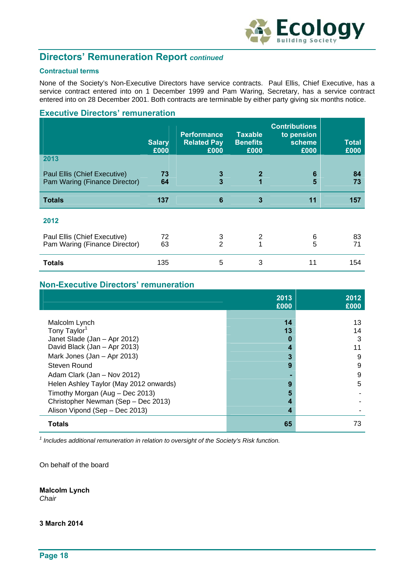

# **Directors' Remuneration Report** *continued*

#### **Contractual terms**

None of the Society's Non-Executive Directors have service contracts. Paul Ellis, Chief Executive, has a service contract entered into on 1 December 1999 and Pam Waring, Secretary, has a service contract entered into on 28 December 2001. Both contracts are terminable by either party giving six months notice.

### **Executive Directors' remuneration**

|                                                               | <b>Salary</b><br>£000 | <b>Performance</b><br><b>Related Pay</b><br>£000 | <b>Taxable</b><br><b>Benefits</b><br>£000 | <b>Contributions</b><br>to pension<br>scheme<br>£000 | <b>Total</b><br>£000 |
|---------------------------------------------------------------|-----------------------|--------------------------------------------------|-------------------------------------------|------------------------------------------------------|----------------------|
| 2013                                                          |                       |                                                  |                                           |                                                      |                      |
| Paul Ellis (Chief Executive)<br>Pam Waring (Finance Director) | 73<br>64              | 3<br>3                                           | $\mathbf{2}$<br>1                         | 6<br>5                                               | 84<br>73             |
| <b>Totals</b>                                                 | 137                   | 6                                                | $\overline{3}$                            | 11                                                   | 157                  |
| 2012<br>Paul Ellis (Chief Executive)                          | 72                    | 3                                                | 2                                         | 6                                                    | 83                   |
| Pam Waring (Finance Director)                                 | 63                    | $\mathfrak{p}$                                   | 1                                         | 5                                                    | 71                   |
| <b>Totals</b>                                                 | 135                   | 5                                                | 3                                         | 11                                                   | 154                  |

# **Non-Executive Directors' remuneration**

|                                        | 2013<br>£000 | 2012<br>£000 |
|----------------------------------------|--------------|--------------|
|                                        |              |              |
| Malcolm Lynch                          | 14           | 13           |
| Tony Taylor <sup>1</sup>               | 13           | 14           |
| Janet Slade (Jan - Apr 2012)           |              | 3            |
| David Black (Jan - Apr 2013)           |              | 11           |
| Mark Jones (Jan - Apr 2013)            | 3            | 9            |
| Steven Round                           | 9            | 9            |
| Adam Clark (Jan - Nov 2012)            |              | 9            |
| Helen Ashley Taylor (May 2012 onwards) | 9            | 5            |
| Timothy Morgan (Aug - Dec 2013)        |              |              |
| Christopher Newman (Sep - Dec 2013)    |              |              |
| Alison Vipond (Sep - Dec 2013)         |              |              |
| <b>Totals</b>                          | 65           | 73           |

<sup>1</sup> Includes additional remuneration in relation to oversight of the Society's Risk function.

On behalf of the board

**Malcolm Lynch**  *Chair*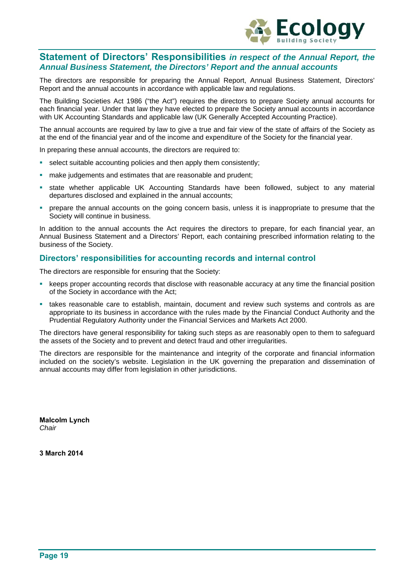

# **Statement of Directors' Responsibilities** *in respect of the Annual Report, the Annual Business Statement, the Directors' Report and the annual accounts*

The directors are responsible for preparing the Annual Report, Annual Business Statement, Directors' Report and the annual accounts in accordance with applicable law and regulations.

The Building Societies Act 1986 ("the Act") requires the directors to prepare Society annual accounts for each financial year. Under that law they have elected to prepare the Society annual accounts in accordance with UK Accounting Standards and applicable law (UK Generally Accepted Accounting Practice).

The annual accounts are required by law to give a true and fair view of the state of affairs of the Society as at the end of the financial year and of the income and expenditure of the Society for the financial year.

In preparing these annual accounts, the directors are required to:

- select suitable accounting policies and then apply them consistently;
- make judgements and estimates that are reasonable and prudent;
- state whether applicable UK Accounting Standards have been followed, subject to any material departures disclosed and explained in the annual accounts;
- prepare the annual accounts on the going concern basis, unless it is inappropriate to presume that the Society will continue in business.

In addition to the annual accounts the Act requires the directors to prepare, for each financial year, an Annual Business Statement and a Directors' Report, each containing prescribed information relating to the business of the Society.

### **Directors' responsibilities for accounting records and internal control**

The directors are responsible for ensuring that the Society:

- keeps proper accounting records that disclose with reasonable accuracy at any time the financial position of the Society in accordance with the Act;
- takes reasonable care to establish, maintain, document and review such systems and controls as are appropriate to its business in accordance with the rules made by the Financial Conduct Authority and the Prudential Regulatory Authority under the Financial Services and Markets Act 2000.

The directors have general responsibility for taking such steps as are reasonably open to them to safeguard the assets of the Society and to prevent and detect fraud and other irregularities.

The directors are responsible for the maintenance and integrity of the corporate and financial information included on the society's website. Legislation in the UK governing the preparation and dissemination of annual accounts may differ from legislation in other jurisdictions.

**Malcolm Lynch**  *Chair*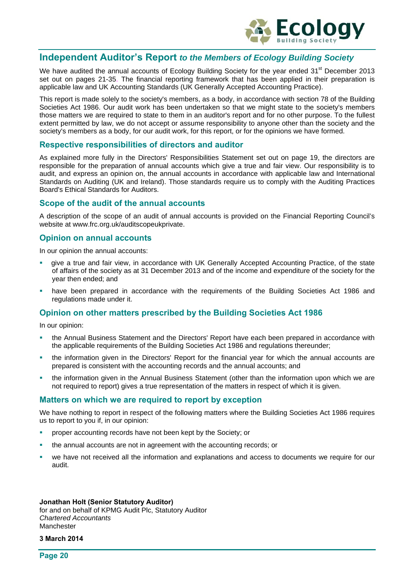

# **Independent Auditor's Report** *to the Members of Ecology Building Society*

We have audited the annual accounts of Ecology Building Society for the year ended 31<sup>st</sup> December 2013 set out on pages 21-35. The financial reporting framework that has been applied in their preparation is applicable law and UK Accounting Standards (UK Generally Accepted Accounting Practice).

This report is made solely to the society's members, as a body, in accordance with section 78 of the Building Societies Act 1986. Our audit work has been undertaken so that we might state to the society's members those matters we are required to state to them in an auditor's report and for no other purpose. To the fullest extent permitted by law, we do not accept or assume responsibility to anyone other than the society and the society's members as a body, for our audit work, for this report, or for the opinions we have formed.

#### **Respective responsibilities of directors and auditor**

As explained more fully in the Directors' Responsibilities Statement set out on page 19, the directors are responsible for the preparation of annual accounts which give a true and fair view. Our responsibility is to audit, and express an opinion on, the annual accounts in accordance with applicable law and International Standards on Auditing (UK and Ireland). Those standards require us to comply with the Auditing Practices Board's Ethical Standards for Auditors.

### **Scope of the audit of the annual accounts**

A description of the scope of an audit of annual accounts is provided on the Financial Reporting Council's website at www.frc.org.uk/auditscopeukprivate.

### **Opinion on annual accounts**

In our opinion the annual accounts:

- give a true and fair view, in accordance with UK Generally Accepted Accounting Practice, of the state of affairs of the society as at 31 December 2013 and of the income and expenditure of the society for the year then ended; and
- have been prepared in accordance with the requirements of the Building Societies Act 1986 and regulations made under it.

### **Opinion on other matters prescribed by the Building Societies Act 1986**

In our opinion:

- the Annual Business Statement and the Directors' Report have each been prepared in accordance with the applicable requirements of the Building Societies Act 1986 and regulations thereunder;
- the information given in the Directors' Report for the financial year for which the annual accounts are prepared is consistent with the accounting records and the annual accounts; and
- the information given in the Annual Business Statement (other than the information upon which we are not required to report) gives a true representation of the matters in respect of which it is given.

#### **Matters on which we are required to report by exception**

We have nothing to report in respect of the following matters where the Building Societies Act 1986 requires us to report to you if, in our opinion:

- proper accounting records have not been kept by the Society; or
- the annual accounts are not in agreement with the accounting records; or
- we have not received all the information and explanations and access to documents we require for our audit.

#### **Jonathan Holt (Senior Statutory Auditor)**  for and on behalf of KPMG Audit Plc, Statutory Auditor *Chartered Accountants*  Manchester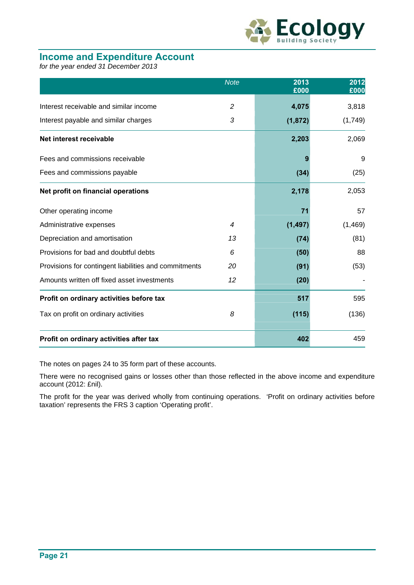

# **Income and Expenditure Account**

*for the year ended 31 December 2013* 

|                                                       | <b>Note</b>    | 2013<br>£000 | 2012<br>£000 |
|-------------------------------------------------------|----------------|--------------|--------------|
| Interest receivable and similar income                | $\overline{2}$ | 4,075        | 3,818        |
| Interest payable and similar charges                  | 3              | (1, 872)     | (1,749)      |
| Net interest receivable                               |                | 2,203        | 2,069        |
| Fees and commissions receivable                       |                |              | 9            |
| Fees and commissions payable                          |                | (34)         | (25)         |
| Net profit on financial operations                    |                | 2,178        | 2,053        |
| Other operating income                                |                | 71           | 57           |
| Administrative expenses                               | $\overline{4}$ | (1, 497)     | (1,469)      |
| Depreciation and amortisation                         | 13             | (74)         | (81)         |
| Provisions for bad and doubtful debts                 | 6              | (50)         | 88           |
| Provisions for contingent liabilities and commitments | 20             | (91)         | (53)         |
| Amounts written off fixed asset investments           | 12             | (20)         |              |
| Profit on ordinary activities before tax              |                | 517          | 595          |
| Tax on profit on ordinary activities                  | 8              | (115)        | (136)        |
| Profit on ordinary activities after tax               |                | 402          | 459          |

The notes on pages 24 to 35 form part of these accounts.

There were no recognised gains or losses other than those reflected in the above income and expenditure account (2012: £nil).

The profit for the year was derived wholly from continuing operations. 'Profit on ordinary activities before taxation' represents the FRS 3 caption 'Operating profit'.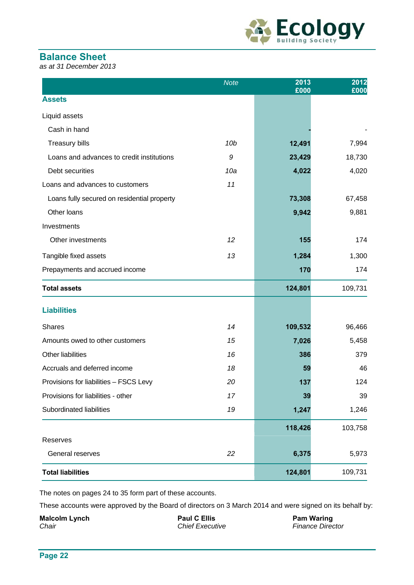

# **Balance Sheet**

*as at 31 December 2013* 

|                                             | <b>Note</b>     | 2013<br>£000 | 2012<br>£000 |
|---------------------------------------------|-----------------|--------------|--------------|
| <b>Assets</b>                               |                 |              |              |
| Liquid assets                               |                 |              |              |
| Cash in hand                                |                 |              |              |
| <b>Treasury bills</b>                       | 10 <sub>b</sub> | 12,491       | 7,994        |
| Loans and advances to credit institutions   | 9               | 23,429       | 18,730       |
| Debt securities                             | 10a             | 4,022        | 4,020        |
| Loans and advances to customers             | 11              |              |              |
| Loans fully secured on residential property |                 | 73,308       | 67,458       |
| Other loans                                 |                 | 9,942        | 9,881        |
| Investments                                 |                 |              |              |
| Other investments                           | 12              | 155          | 174          |
| Tangible fixed assets                       | 13              | 1,284        | 1,300        |
| Prepayments and accrued income              |                 | 170          | 174          |
| <b>Total assets</b>                         |                 | 124,801      | 109,731      |
| <b>Liabilities</b>                          |                 |              |              |
| <b>Shares</b>                               | 14              | 109,532      | 96,466       |
| Amounts owed to other customers             | 15              | 7,026        | 5,458        |
| Other liabilities                           | 16              | 386          | 379          |
| Accruals and deferred income                | 18              | 59           | 46           |
| Provisions for liabilities - FSCS Levy      | 20              | 137          | 124          |
| Provisions for liabilities - other          | 17              | 39           | 39           |
| Subordinated liabilities                    | 19              | 1,247        | 1,246        |
|                                             |                 | 118,426      | 103,758      |
| Reserves                                    |                 |              |              |
| General reserves                            | 22              | 6,375        | 5,973        |
| <b>Total liabilities</b>                    |                 | 124,801      | 109,731      |

The notes on pages 24 to 35 form part of these accounts.

These accounts were approved by the Board of directors on 3 March 2014 and were signed on its behalf by:

**Malcolm Lynch CELLIS** Paul C Ellis **Paul C Ellis** Pam Waring *Chair Chief Executive Finance Director*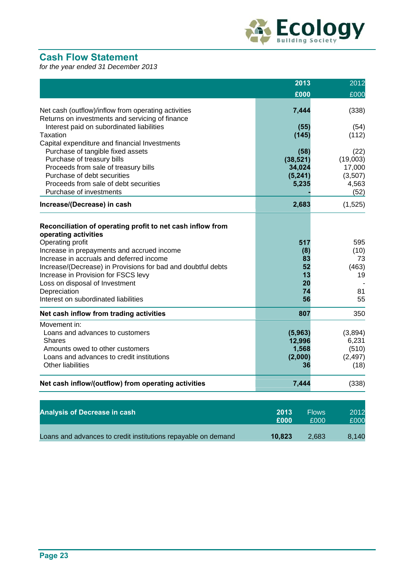

# **Cash Flow Statement**

*for the year ended 31 December 2013* 

|                                                                                                                                                                                                                                                                                                                                                                                                   | 2013                                           | 2012                                          |
|---------------------------------------------------------------------------------------------------------------------------------------------------------------------------------------------------------------------------------------------------------------------------------------------------------------------------------------------------------------------------------------------------|------------------------------------------------|-----------------------------------------------|
|                                                                                                                                                                                                                                                                                                                                                                                                   | £000                                           | £000                                          |
| Net cash (outflow)/inflow from operating activities<br>Returns on investments and servicing of finance                                                                                                                                                                                                                                                                                            | 7,444                                          | (338)                                         |
| Interest paid on subordinated liabilities<br><b>Taxation</b>                                                                                                                                                                                                                                                                                                                                      | (55)<br>(145)                                  | (54)<br>(112)                                 |
| Capital expenditure and financial Investments<br>Purchase of tangible fixed assets<br>Purchase of treasury bills                                                                                                                                                                                                                                                                                  | (58)<br>(38, 521)                              | (22)<br>(19,003)                              |
| Proceeds from sale of treasury bills<br>Purchase of debt securities<br>Proceeds from sale of debt securities                                                                                                                                                                                                                                                                                      | 34,024<br>(5, 241)<br>5,235                    | 17,000<br>(3,507)<br>4,563                    |
| Purchase of investments<br>Increase/(Decrease) in cash                                                                                                                                                                                                                                                                                                                                            | 2,683                                          | (52)<br>(1, 525)                              |
| Reconciliation of operating profit to net cash inflow from<br>operating activities<br>Operating profit<br>Increase in prepayments and accrued income<br>Increase in accruals and deferred income<br>Increase/(Decrease) in Provisions for bad and doubtful debts<br>Increase in Provision for FSCS levy<br>Loss on disposal of Investment<br>Depreciation<br>Interest on subordinated liabilities | 517<br>(8)<br>83<br>52<br>13<br>20<br>74<br>56 | 595<br>(10)<br>73<br>(463)<br>19<br>81<br>55  |
| Net cash inflow from trading activities                                                                                                                                                                                                                                                                                                                                                           | 807                                            | 350                                           |
| Movement in:<br>Loans and advances to customers<br><b>Shares</b><br>Amounts owed to other customers<br>Loans and advances to credit institutions<br><b>Other liabilities</b>                                                                                                                                                                                                                      | (5, 963)<br>12,996<br>1,568<br>(2,000)<br>36   | (3,894)<br>6,231<br>(510)<br>(2, 497)<br>(18) |
| Net cash inflow/(outflow) from operating activities                                                                                                                                                                                                                                                                                                                                               | 7,444                                          | (338)                                         |
| <b>Analysis of Decrease in cash</b>                                                                                                                                                                                                                                                                                                                                                               | 2013                                           | <b>Flows</b><br>2012                          |
|                                                                                                                                                                                                                                                                                                                                                                                                   | £000                                           | £000<br>£000                                  |

| Loans and advances to credit institutions repayable on demand | 10.823 | 2,683 | 8,140 |
|---------------------------------------------------------------|--------|-------|-------|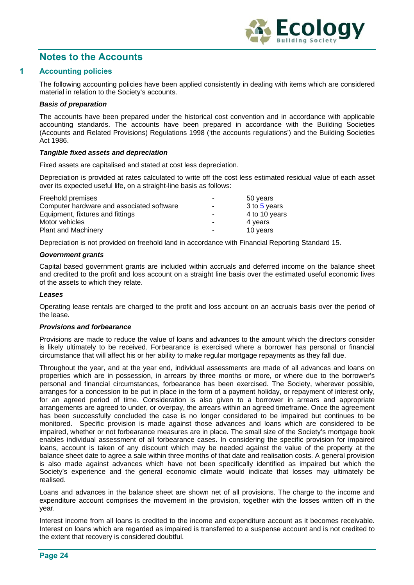

# **Notes to the Accounts**

#### **1 Accounting policies**

The following accounting policies have been applied consistently in dealing with items which are considered material in relation to the Society's accounts.

#### *Basis of preparation*

The accounts have been prepared under the historical cost convention and in accordance with applicable accounting standards. The accounts have been prepared in accordance with the Building Societies (Accounts and Related Provisions) Regulations 1998 ('the accounts regulations') and the Building Societies Act 1986.

#### *Tangible fixed assets and depreciation*

Fixed assets are capitalised and stated at cost less depreciation.

Depreciation is provided at rates calculated to write off the cost less estimated residual value of each asset over its expected useful life, on a straight-line basis as follows:

| Freehold premises                         | ۰                        | 50 years      |
|-------------------------------------------|--------------------------|---------------|
| Computer hardware and associated software | ٠                        | 3 to 5 years  |
| Equipment, fixtures and fittings          | $\overline{\phantom{0}}$ | 4 to 10 years |
| Motor vehicles                            | ۰                        | 4 years       |
| <b>Plant and Machinery</b>                | -                        | 10 years      |

Depreciation is not provided on freehold land in accordance with Financial Reporting Standard 15.

#### *Government grants*

Capital based government grants are included within accruals and deferred income on the balance sheet and credited to the profit and loss account on a straight line basis over the estimated useful economic lives of the assets to which they relate.

#### *Leases*

Operating lease rentals are charged to the profit and loss account on an accruals basis over the period of the lease.

#### *Provisions and forbearance*

Provisions are made to reduce the value of loans and advances to the amount which the directors consider is likely ultimately to be received. Forbearance is exercised where a borrower has personal or financial circumstance that will affect his or her ability to make regular mortgage repayments as they fall due.

Throughout the year, and at the year end, individual assessments are made of all advances and loans on properties which are in possession, in arrears by three months or more, or where due to the borrower's personal and financial circumstances, forbearance has been exercised. The Society, wherever possible, arranges for a concession to be put in place in the form of a payment holiday, or repayment of interest only, for an agreed period of time. Consideration is also given to a borrower in arrears and appropriate arrangements are agreed to under, or overpay, the arrears within an agreed timeframe. Once the agreement has been successfully concluded the case is no longer considered to be impaired but continues to be monitored. Specific provision is made against those advances and loans which are considered to be impaired, whether or not forbearance measures are in place. The small size of the Society's mortgage book enables individual assessment of all forbearance cases. In considering the specific provision for impaired loans, account is taken of any discount which may be needed against the value of the property at the balance sheet date to agree a sale within three months of that date and realisation costs. A general provision is also made against advances which have not been specifically identified as impaired but which the Society's experience and the general economic climate would indicate that losses may ultimately be realised.

Loans and advances in the balance sheet are shown net of all provisions. The charge to the income and expenditure account comprises the movement in the provision, together with the losses written off in the year.

Interest income from all loans is credited to the income and expenditure account as it becomes receivable. Interest on loans which are regarded as impaired is transferred to a suspense account and is not credited to the extent that recovery is considered doubtful.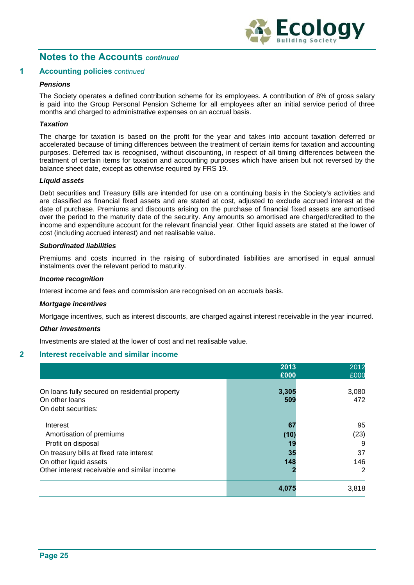

#### **1 Accounting policies** *continued*

#### *Pensions*

The Society operates a defined contribution scheme for its employees. A contribution of 8% of gross salary is paid into the Group Personal Pension Scheme for all employees after an initial service period of three months and charged to administrative expenses on an accrual basis.

#### *Taxation*

The charge for taxation is based on the profit for the year and takes into account taxation deferred or accelerated because of timing differences between the treatment of certain items for taxation and accounting purposes. Deferred tax is recognised, without discounting, in respect of all timing differences between the treatment of certain items for taxation and accounting purposes which have arisen but not reversed by the balance sheet date, except as otherwise required by FRS 19.

#### *Liquid assets*

Debt securities and Treasury Bills are intended for use on a continuing basis in the Society's activities and are classified as financial fixed assets and are stated at cost, adjusted to exclude accrued interest at the date of purchase. Premiums and discounts arising on the purchase of financial fixed assets are amortised over the period to the maturity date of the security. Any amounts so amortised are charged/credited to the income and expenditure account for the relevant financial year. Other liquid assets are stated at the lower of cost (including accrued interest) and net realisable value.

#### *Subordinated liabilities*

Premiums and costs incurred in the raising of subordinated liabilities are amortised in equal annual instalments over the relevant period to maturity.

#### *Income recognition*

Interest income and fees and commission are recognised on an accruals basis.

#### *Mortgage incentives*

Mortgage incentives, such as interest discounts, are charged against interest receivable in the year incurred.

#### *Other investments*

Investments are stated at the lower of cost and net realisable value.

#### **2 Interest receivable and similar income**

|                                                                                                                                                                                  | 2013<br>£000                  | 2012<br>£000                      |
|----------------------------------------------------------------------------------------------------------------------------------------------------------------------------------|-------------------------------|-----------------------------------|
| On loans fully secured on residential property<br>On other loans<br>On debt securities:                                                                                          | 3,305<br>509                  | 3,080<br>472                      |
| Interest<br>Amortisation of premiums<br>Profit on disposal<br>On treasury bills at fixed rate interest<br>On other liquid assets<br>Other interest receivable and similar income | 67<br>(10)<br>19<br>35<br>148 | 95<br>(23)<br>9<br>37<br>146<br>2 |
|                                                                                                                                                                                  | 4,075                         | 3,818                             |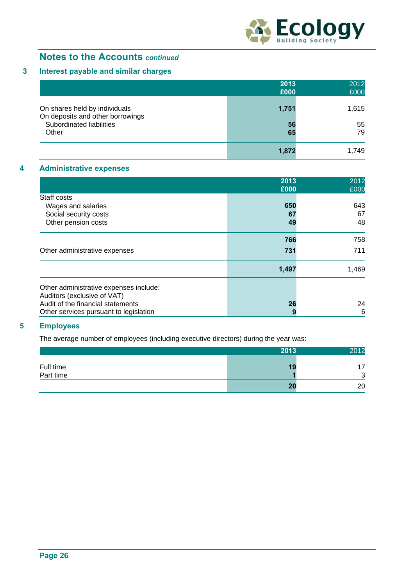

# **3 Interest payable and similar charges**

|                                                                   | 2013<br>£000 | 2012<br>£000 |
|-------------------------------------------------------------------|--------------|--------------|
| On shares held by individuals<br>On deposits and other borrowings | 1,751        | 1,615        |
| Subordinated liabilities<br>Other                                 | 56<br>65     | 55<br>79     |
|                                                                   | 1,872        | 1.749        |

### **4 Administrative expenses**

|                                        | 2013<br>£000 | 2012<br>£000 |
|----------------------------------------|--------------|--------------|
| Staff costs                            |              |              |
| Wages and salaries                     | 650          | 643          |
| Social security costs                  | 67           | 67           |
| Other pension costs                    | 49           | 48           |
|                                        | 766          | 758          |
| Other administrative expenses          | 731          | 711          |
|                                        | 1,497        | 1,469        |
| Other administrative expenses include: |              |              |
| Auditors (exclusive of VAT)            |              |              |
| Audit of the financial statements      | 26           | 24           |
| Other services pursuant to legislation | 9            | 6            |

# **5 Employees**

The average number of employees (including executive directors) during the year was:

|                        | 2013 | 2012   |
|------------------------|------|--------|
| Full time<br>Part time | ю    | —<br>⌒ |
|                        |      | ັ      |
|                        | 20   | 20     |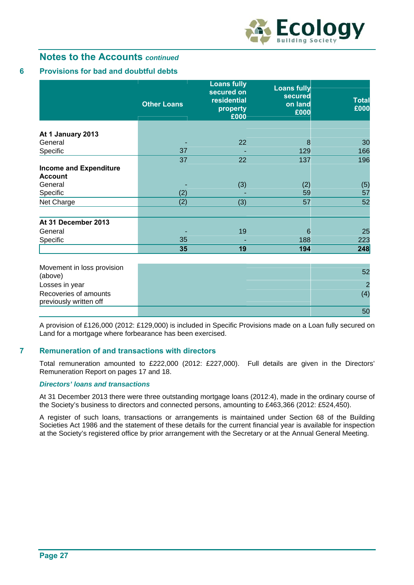

### **6 Provisions for bad and doubtful debts**

|                               | <b>Other Loans</b> | <b>Loans fully</b><br>secured on<br>residential<br>property<br>£000 | <b>Loans fully</b><br>secured<br>on land<br>£000 | <b>Total</b><br>£000 |
|-------------------------------|--------------------|---------------------------------------------------------------------|--------------------------------------------------|----------------------|
|                               |                    |                                                                     |                                                  |                      |
| At 1 January 2013             |                    |                                                                     |                                                  |                      |
| General                       |                    | 22                                                                  | 8                                                | 30                   |
| Specific                      | 37                 |                                                                     | 129                                              | 166                  |
|                               | 37                 | 22                                                                  | 137                                              | 196                  |
| <b>Income and Expenditure</b> |                    |                                                                     |                                                  |                      |
| <b>Account</b>                |                    |                                                                     |                                                  |                      |
| General                       |                    | (3)                                                                 | (2)                                              | (5)                  |
| Specific                      | (2)                |                                                                     | 59                                               | 57                   |
| Net Charge                    | (2)                | (3)                                                                 | 57                                               | 52                   |
|                               |                    |                                                                     |                                                  |                      |
| At 31 December 2013           |                    |                                                                     |                                                  |                      |
| General                       |                    | 19                                                                  | 6                                                | 25                   |
| Specific                      | 35                 | -                                                                   | 188                                              | 223                  |
|                               | 35                 | 19                                                                  | 194                                              | 248                  |

| Movement in loss provision |     |
|----------------------------|-----|
| (above)                    |     |
| Losses in year             |     |
| Recoveries of amounts      | (4) |
| previously written off     |     |
|                            | -50 |

A provision of £126,000 (2012: £129,000) is included in Specific Provisions made on a Loan fully secured on Land for a mortgage where forbearance has been exercised.

#### **7 Remuneration of and transactions with directors**

Total remuneration amounted to £222,000 (2012: £227,000). Full details are given in the Directors' Remuneration Report on pages 17 and 18.

#### *Directors' loans and transactions*

At 31 December 2013 there were three outstanding mortgage loans (2012:4), made in the ordinary course of the Society's business to directors and connected persons, amounting to £463,366 (2012: £524,450).

A register of such loans, transactions or arrangements is maintained under Section 68 of the Building Societies Act 1986 and the statement of these details for the current financial year is available for inspection at the Society's registered office by prior arrangement with the Secretary or at the Annual General Meeting.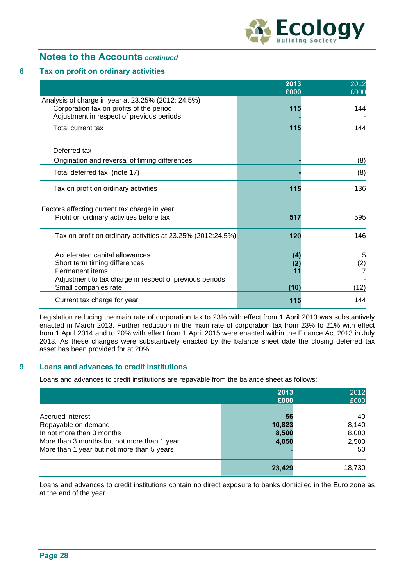

#### **8 Tax on profit on ordinary activities**

|                                                                                                                                                                       | 2013<br>£000             | 2012<br>£000     |
|-----------------------------------------------------------------------------------------------------------------------------------------------------------------------|--------------------------|------------------|
| Analysis of charge in year at 23.25% (2012: 24.5%)<br>Corporation tax on profits of the period<br>Adjustment in respect of previous periods                           | 115                      | 144              |
| Total current tax                                                                                                                                                     | 115                      | 144              |
| Deferred tax                                                                                                                                                          |                          |                  |
| Origination and reversal of timing differences                                                                                                                        |                          | (8)              |
| Total deferred tax (note 17)                                                                                                                                          |                          | (8)              |
| Tax on profit on ordinary activities                                                                                                                                  | 115                      | 136              |
| Factors affecting current tax charge in year<br>Profit on ordinary activities before tax                                                                              | 517                      | 595              |
| Tax on profit on ordinary activities at 23.25% (2012:24.5%)                                                                                                           | 120                      | 146              |
| Accelerated capital allowances<br>Short term timing differences<br>Permanent items<br>Adjustment to tax charge in respect of previous periods<br>Small companies rate | (4)<br>(2)<br>11<br>(10) | 5<br>(2)<br>(12) |
| Current tax charge for year                                                                                                                                           | 115                      | 144              |

Legislation reducing the main rate of corporation tax to 23% with effect from 1 April 2013 was substantively enacted in March 2013. Further reduction in the main rate of corporation tax from 23% to 21% with effect from 1 April 2014 and to 20% with effect from 1 April 2015 were enacted within the Finance Act 2013 in July 2013. As these changes were substantively enacted by the balance sheet date the closing deferred tax asset has been provided for at 20%.

#### **9 Loans and advances to credit institutions**

Loans and advances to credit institutions are repayable from the balance sheet as follows:

|                                                                                                                                                                   | 2013<br>£000                   | 2012<br>£000                        |
|-------------------------------------------------------------------------------------------------------------------------------------------------------------------|--------------------------------|-------------------------------------|
| Accrued interest<br>Repayable on demand<br>In not more than 3 months<br>More than 3 months but not more than 1 year<br>More than 1 year but not more than 5 years | 56<br>10,823<br>8,500<br>4,050 | 40<br>8,140<br>8,000<br>2,500<br>50 |
|                                                                                                                                                                   | 23,429                         | 18,730                              |

Loans and advances to credit institutions contain no direct exposure to banks domiciled in the Euro zone as at the end of the year.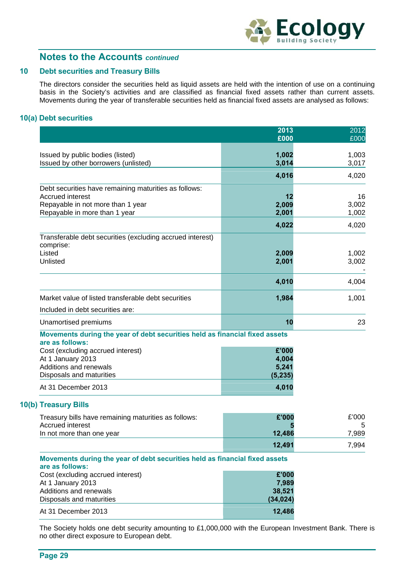

#### **10 Debt securities and Treasury Bills**

The directors consider the securities held as liquid assets are held with the intention of use on a continuing basis in the Society's activities and are classified as financial fixed assets rather than current assets. Movements during the year of transferable securities held as financial fixed assets are analysed as follows:

### **10(a) Debt securities**

|                                                                                                | 2013<br>£000   | 2012<br>£000   |
|------------------------------------------------------------------------------------------------|----------------|----------------|
|                                                                                                |                |                |
| Issued by public bodies (listed)                                                               | 1,002          | 1,003          |
| Issued by other borrowers (unlisted)                                                           | 3,014          | 3,017          |
|                                                                                                | 4,016          | 4,020          |
| Debt securities have remaining maturities as follows:                                          |                |                |
| <b>Accrued interest</b>                                                                        | 12             | 16             |
| Repayable in not more than 1 year<br>Repayable in more than 1 year                             | 2,009<br>2,001 | 3,002<br>1,002 |
|                                                                                                | 4,022          | 4,020          |
|                                                                                                |                |                |
| Transferable debt securities (excluding accrued interest)<br>comprise:                         |                |                |
| Listed                                                                                         | 2,009          | 1,002          |
| Unlisted                                                                                       | 2,001          | 3,002          |
|                                                                                                | 4,010          | 4,004          |
| Market value of listed transferable debt securities                                            | 1,984          | 1,001          |
| Included in debt securities are:                                                               |                |                |
|                                                                                                |                |                |
| Unamortised premiums                                                                           | 10             | 23             |
| Movements during the year of debt securities held as financial fixed assets<br>are as follows: |                |                |
| Cost (excluding accrued interest)                                                              | £'000          |                |
| At 1 January 2013                                                                              | 4,004          |                |
| Additions and renewals                                                                         | 5,241          |                |
| Disposals and maturities                                                                       | (5, 235)       |                |
| At 31 December 2013                                                                            | 4,010          |                |
| 10(b) Treasury Bills                                                                           |                |                |
| Treasury bills have remaining maturities as follows:                                           | £'000          | £'000          |
| <b>Accrued interest</b>                                                                        |                | 5              |
| In not more than one year                                                                      | 12,486         | 7,989          |
|                                                                                                | 12,491         | 7,994          |

| are as follows:                   |           |
|-----------------------------------|-----------|
| Cost (excluding accrued interest) | £'000     |
| At 1 January 2013                 | 7.989     |
| Additions and renewals            | 38,521    |
| Disposals and maturities          | (34, 024) |
| At 31 December 2013               | 12,486    |

The Society holds one debt security amounting to £1,000,000 with the European Investment Bank. There is no other direct exposure to European debt.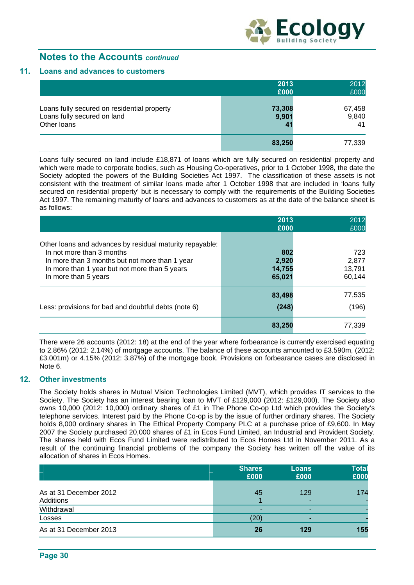

#### **11. Loans and advances to customers**

|                                                                                           | 2013                                     | 2012                  |
|-------------------------------------------------------------------------------------------|------------------------------------------|-----------------------|
|                                                                                           | £000                                     | £000                  |
| Loans fully secured on residential property<br>Loans fully secured on land<br>Other loans | 73,308<br>9,901<br>$\mathbf{4}^{\prime}$ | 67,458<br>9,840<br>41 |
|                                                                                           | 83,250                                   | 77,339                |

 Loans fully secured on land include £18,871 of loans which are fully secured on residential property and which were made to corporate bodies, such as Housing Co-operatives, prior to 1 October 1998, the date the Society adopted the powers of the Building Societies Act 1997. The classification of these assets is not consistent with the treatment of similar loans made after 1 October 1998 that are included in 'loans fully secured on residential property' but is necessary to comply with the requirements of the Building Societies Act 1997. The remaining maturity of loans and advances to customers as at the date of the balance sheet is as follows:

|                                                                                                                                                                                                                  | 2013<br>£000                     | 2012<br>£000                     |
|------------------------------------------------------------------------------------------------------------------------------------------------------------------------------------------------------------------|----------------------------------|----------------------------------|
| Other loans and advances by residual maturity repayable:<br>In not more than 3 months<br>In more than 3 months but not more than 1 year<br>In more than 1 year but not more than 5 years<br>In more than 5 years | 802<br>2,920<br>14,755<br>65,021 | 723<br>2.877<br>13,791<br>60,144 |
| Less: provisions for bad and doubtful debts (note 6)                                                                                                                                                             | 83,498<br>(248)                  | 77,535<br>(196)                  |
|                                                                                                                                                                                                                  | 83,250                           | 77,339                           |

There were 26 accounts (2012: 18) at the end of the year where forbearance is currently exercised equating to 2.86% (2012: 2.14%) of mortgage accounts. The balance of these accounts amounted to £3.590m, (2012: £3.001m) or 4.15% (2012: 3.87%) of the mortgage book. Provisions on forbearance cases are disclosed in Note 6.

#### **12. Other investments**

The Society holds shares in Mutual Vision Technologies Limited (MVT), which provides IT services to the Society. The Society has an interest bearing loan to MVT of £129,000 (2012: £129,000). The Society also owns 10,000 (2012: 10,000) ordinary shares of £1 in The Phone Co-op Ltd which provides the Society's telephone services. Interest paid by the Phone Co-op is by the issue of further ordinary shares. The Society holds 8,000 ordinary shares in The Ethical Property Company PLC at a purchase price of £9,600. In May 2007 the Society purchased 20,000 shares of £1 in Ecos Fund Limited, an Industrial and Provident Society. The shares held with Ecos Fund Limited were redistributed to Ecos Homes Ltd in November 2011. As a result of the continuing financial problems of the company the Society has written off the value of its allocation of shares in Ecos Homes.

|                                     | <b>Shares</b><br>£000 | <b>Loans</b><br>£000 | <b>Total</b><br>£000 |
|-------------------------------------|-----------------------|----------------------|----------------------|
| As at 31 December 2012<br>Additions | 45                    | 129<br>-             | 174                  |
| Withdrawal                          |                       |                      |                      |
| Losses                              | (20)                  | -                    |                      |
| As at 31 December 2013              | 26                    | 129                  | 155                  |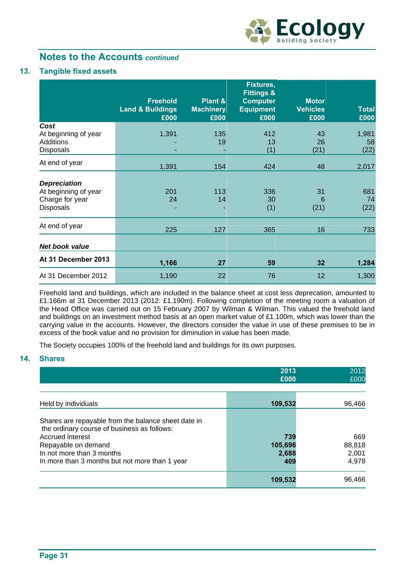

### **13. Tangible fixed assets**

|                                                                             | <b>Freehold</b><br><b>Land &amp; Buildings</b><br>£000 | Plant &<br><b>Machinery</b><br>£000 | <b>Fixtures,</b><br><b>Fittings &amp;</b><br><b>Computer</b><br><b>Equipment</b><br>£000 | <b>Motor</b><br><b>Vehicles</b><br>£000 | <b>Total</b><br>£000 |
|-----------------------------------------------------------------------------|--------------------------------------------------------|-------------------------------------|------------------------------------------------------------------------------------------|-----------------------------------------|----------------------|
| Cost<br>At beginning of year<br>Additions<br><b>Disposals</b>               | 1,391                                                  | 135<br>19                           | 412<br>13<br>(1)                                                                         | 43<br>26<br>(21)                        | 1,981<br>58<br>(22)  |
| At end of year                                                              | 1,391                                                  | 154                                 | 424                                                                                      | 48                                      | 2,017                |
| <b>Depreciation</b><br>At beginning of year<br>Charge for year<br>Disposals | 201<br>24                                              | 113<br>14                           | 336<br>30<br>(1)                                                                         | 31<br>6<br>(21)                         | 681<br>74<br>(22)    |
| At end of year                                                              | 225                                                    | 127                                 | 365                                                                                      | 16                                      | 733                  |
| Net book value                                                              |                                                        |                                     |                                                                                          |                                         |                      |
| At 31 December 2013                                                         | 1,166                                                  | 27                                  | 59                                                                                       | 32                                      | 1,284                |
| At 31 December 2012                                                         | 1,190                                                  | 22                                  | 76                                                                                       | 12                                      | 1,300                |

Freehold land and buildings, which are included in the balance sheet at cost less deprecation, amounted to £1.166m at 31 December 2013 (2012: £1.190m). Following completion of the meeting room a valuation of the Head Office was carried out on 15 February 2007 by Wilman & Wilman. This valued the freehold land and buildings on an investment method basis at an open market value of £1.100m, which was lower than the carrying value in the accounts. However, the directors consider the value in use of these premises to be in excess of the book value and no provision for diminution in value has been made.

The Society occupies 100% of the freehold land and buildings for its own purposes.

### **14. Shares**

|                                                                                                                                                                                                                              | 2013<br>£000                   | 2012<br>£000                    |
|------------------------------------------------------------------------------------------------------------------------------------------------------------------------------------------------------------------------------|--------------------------------|---------------------------------|
| Held by individuals                                                                                                                                                                                                          | 109,532                        | 96,466                          |
| Shares are repayable from the balance sheet date in<br>the ordinary course of business as follows:<br>Accrued interest<br>Repayable on demand<br>In not more than 3 months<br>In more than 3 months but not more than 1 year | 739<br>105,696<br>2,688<br>409 | 669<br>88,818<br>2,001<br>4,978 |
|                                                                                                                                                                                                                              | 109,532                        | 96.466                          |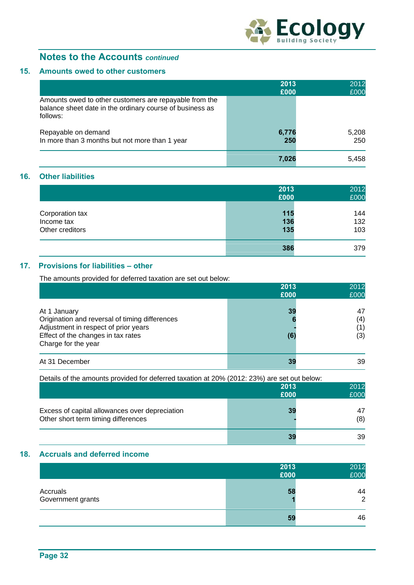

### **15. Amounts owed to other customers**

|                                                                                                                                | 2013<br>£000 | 2012<br>£000 |
|--------------------------------------------------------------------------------------------------------------------------------|--------------|--------------|
| Amounts owed to other customers are repayable from the<br>balance sheet date in the ordinary course of business as<br>follows: |              |              |
| Repayable on demand<br>In more than 3 months but not more than 1 year                                                          | 6,776<br>250 | 5,208<br>250 |
|                                                                                                                                | 7.026        | 5.458        |

### **16. Other liabilities**

|                               | 2013<br>£000 | 2012<br>£000 |
|-------------------------------|--------------|--------------|
| Corporation tax               | 115          | 144          |
| Income tax<br>Other creditors | 136<br>135   | 132<br>103   |
|                               | 386          | 379          |

### **17. Provisions for liabilities – other**

The amounts provided for deferred taxation are set out below:

|                                                                                                                                                                     | 2013<br>£000   | 2012<br>£000     |
|---------------------------------------------------------------------------------------------------------------------------------------------------------------------|----------------|------------------|
| At 1 January<br>Origination and reversal of timing differences<br>Adjustment in respect of prior years<br>Effect of the changes in tax rates<br>Charge for the year | 39<br>ю<br>(6) | 47<br>(4)<br>(3) |
| At 31 December                                                                                                                                                      | 39             | 39               |

| Details of the amounts provided for deferred taxation at 20% (2012: 23%) are set out below: |      |           |
|---------------------------------------------------------------------------------------------|------|-----------|
|                                                                                             | 2013 | 2012      |
|                                                                                             | £000 | £000      |
| Excess of capital allowances over depreciation<br>Other short term timing differences       | 39   | 47<br>(8) |
|                                                                                             | 39   | 39        |

# **18. Accruals and deferred income**

|                               | 2013<br>£000 | 2012<br>£000         |
|-------------------------------|--------------|----------------------|
| Accruals<br>Government grants | 58           | 44<br>$\overline{2}$ |
|                               | 59           | 46                   |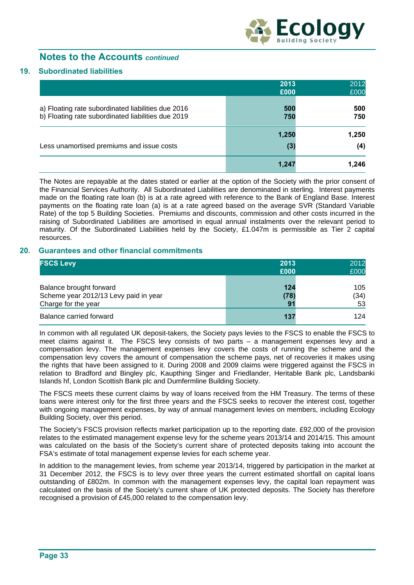

#### **19. Subordinated liabilities**

|                                                                                                          | 2013       | 2012       |
|----------------------------------------------------------------------------------------------------------|------------|------------|
|                                                                                                          | £000       | £000       |
| a) Floating rate subordinated liabilities due 2016<br>b) Floating rate subordinated liabilities due 2019 | 500<br>750 | 500<br>750 |
|                                                                                                          | 1,250      | 1,250      |
| Less unamortised premiums and issue costs                                                                | (3)        | (4)        |
|                                                                                                          | 1,247      | 1,246      |

The Notes are repayable at the dates stated or earlier at the option of the Society with the prior consent of the Financial Services Authority. All Subordinated Liabilities are denominated in sterling. Interest payments made on the floating rate loan (b) is at a rate agreed with reference to the Bank of England Base. Interest payments on the floating rate loan (a) is at a rate agreed based on the average SVR (Standard Variable Rate) of the top 5 Building Societies. Premiums and discounts, commission and other costs incurred in the raising of Subordinated Liabilities are amortised in equal annual instalments over the relevant period to maturity. Of the Subordinated Liabilities held by the Society, £1.047m is permissible as Tier 2 capital resources.

#### **20. Guarantees and other financial commitments**

| <b>FSCS Levy</b>                                                                        | 2013<br>£000      | 2012<br>£000      |
|-----------------------------------------------------------------------------------------|-------------------|-------------------|
| Balance brought forward<br>Scheme year 2012/13 Levy paid in year<br>Charge for the year | 124<br>(78)<br>91 | 105<br>(34)<br>53 |
| Balance carried forward                                                                 | 137               | 124               |

In common with all regulated UK deposit-takers, the Society pays levies to the FSCS to enable the FSCS to meet claims against it. The FSCS levy consists of two parts – a management expenses levy and a compensation levy. The management expenses levy covers the costs of running the scheme and the compensation levy covers the amount of compensation the scheme pays, net of recoveries it makes using the rights that have been assigned to it. During 2008 and 2009 claims were triggered against the FSCS in relation to Bradford and Bingley plc, Kaupthing Singer and Friedlander, Heritable Bank plc, Landsbanki Islands hf, London Scottish Bank plc and Dumfermline Building Society.

The FSCS meets these current claims by way of loans received from the HM Treasury. The terms of these loans were interest only for the first three years and the FSCS seeks to recover the interest cost, together with ongoing management expenses, by way of annual management levies on members, including Ecology Building Society, over this period.

The Society's FSCS provision reflects market participation up to the reporting date. £92,000 of the provision relates to the estimated management expense levy for the scheme years 2013/14 and 2014/15. This amount was calculated on the basis of the Society's current share of protected deposits taking into account the FSA's estimate of total management expense levies for each scheme year.

In addition to the management levies, from scheme year 2013/14, triggered by participation in the market at 31 December 2012, the FSCS is to levy over three years the current estimated shortfall on capital loans outstanding of £802m. In common with the management expenses levy, the capital loan repayment was calculated on the basis of the Society's current share of UK protected deposits. The Society has therefore recognised a provision of £45,000 related to the compensation levy.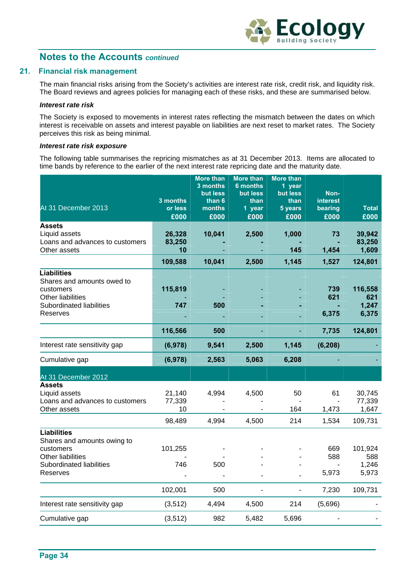

#### **21. Financial risk management**

The main financial risks arising from the Society's activities are interest rate risk, credit risk, and liquidity risk. The Board reviews and agrees policies for managing each of these risks, and these are summarised below.

#### *Interest rate risk*

The Society is exposed to movements in interest rates reflecting the mismatch between the dates on which interest is receivable on assets and interest payable on liabilities are next reset to market rates. The Society perceives this risk as being minimal.

#### *Interest rate risk exposure*

The following table summarises the repricing mismatches as at 31 December 2013. Items are allocated to time bands by reference to the earlier of the next interest rate repricing date and the maturity date.

| At 31 December 2013                                                                                                        | 3 months<br>or less<br>£000 | More than<br>3 months<br>but less<br>than 6<br>months<br>£000 | <b>More than</b><br><b>6 months</b><br>but less<br>than<br>1 year<br>£000 | <b>More than</b><br>1 year<br>but less<br>than<br>5 years<br>£000 | Non-<br><b>interest</b><br>bearing<br>£000 | <b>Total</b><br>£000             |
|----------------------------------------------------------------------------------------------------------------------------|-----------------------------|---------------------------------------------------------------|---------------------------------------------------------------------------|-------------------------------------------------------------------|--------------------------------------------|----------------------------------|
| <b>Assets</b><br>Liquid assets<br>Loans and advances to customers<br>Other assets                                          | 26,328<br>83,250<br>10      | 10,041                                                        | 2,500                                                                     | 1,000<br>145                                                      | 73<br>1,454                                | 39,942<br>83,250<br>1,609        |
|                                                                                                                            | 109,588                     | 10,041                                                        | 2,500                                                                     | 1,145                                                             | 1,527                                      | 124,801                          |
| <b>Liabilities</b><br>Shares and amounts owed to<br>customers<br>Other liabilities<br>Subordinated liabilities<br>Reserves | 115,819<br>747              | 500                                                           |                                                                           |                                                                   | 739<br>621<br>6,375                        | 116,558<br>621<br>1,247<br>6,375 |
|                                                                                                                            | 116,566                     | 500                                                           |                                                                           |                                                                   | 7,735                                      | 124,801                          |
| Interest rate sensitivity gap                                                                                              | (6,978)                     | 9,541                                                         | 2,500                                                                     | 1,145                                                             | (6, 208)                                   |                                  |
| Cumulative gap                                                                                                             | (6,978)                     | 2,563                                                         | 5,063                                                                     | 6,208                                                             |                                            |                                  |
| At 31 December 2012                                                                                                        |                             |                                                               |                                                                           |                                                                   |                                            |                                  |
| <b>Assets</b><br>Liquid assets<br>Loans and advances to customers<br>Other assets                                          | 21,140<br>77,339<br>10      | 4,994                                                         | 4,500                                                                     | 50<br>164                                                         | 61<br>1,473                                | 30,745<br>77,339<br>1,647        |
|                                                                                                                            | 98,489                      | 4,994                                                         | 4,500                                                                     | 214                                                               | 1,534                                      | 109,731                          |
| <b>Liabilities</b><br>Shares and amounts owing to<br>customers                                                             | 101,255                     |                                                               |                                                                           |                                                                   | 669                                        | 101,924                          |
| Other liabilities<br>Subordinated liabilities                                                                              | 746                         | 500                                                           |                                                                           |                                                                   | 588                                        | 588<br>1,246                     |
| Reserves                                                                                                                   |                             |                                                               |                                                                           |                                                                   | 5,973                                      | 5,973                            |
|                                                                                                                            | 102,001                     | 500                                                           |                                                                           | L,                                                                | 7,230                                      | 109,731                          |
| Interest rate sensitivity gap                                                                                              | (3, 512)                    | 4,494                                                         | 4,500                                                                     | 214                                                               | (5,696)                                    |                                  |
| Cumulative gap                                                                                                             | (3, 512)                    | 982                                                           | 5,482                                                                     | 5,696                                                             |                                            |                                  |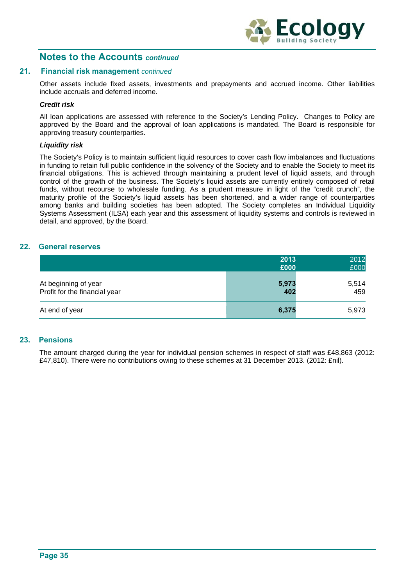

#### **21. Financial risk management** *continued*

Other assets include fixed assets, investments and prepayments and accrued income. Other liabilities include accruals and deferred income.

#### *Credit risk*

All loan applications are assessed with reference to the Society's Lending Policy. Changes to Policy are approved by the Board and the approval of loan applications is mandated. The Board is responsible for approving treasury counterparties.

#### *Liquidity risk*

The Society's Policy is to maintain sufficient liquid resources to cover cash flow imbalances and fluctuations in funding to retain full public confidence in the solvency of the Society and to enable the Society to meet its financial obligations. This is achieved through maintaining a prudent level of liquid assets, and through control of the growth of the business. The Society's liquid assets are currently entirely composed of retail funds, without recourse to wholesale funding. As a prudent measure in light of the "credit crunch", the maturity profile of the Society's liquid assets has been shortened, and a wider range of counterparties among banks and building societies has been adopted. The Society completes an Individual Liquidity Systems Assessment (ILSA) each year and this assessment of liquidity systems and controls is reviewed in detail, and approved, by the Board.

#### **22. General reserves**

|                                                       | 2013<br>£000 | 2012<br>£000 |
|-------------------------------------------------------|--------------|--------------|
| At beginning of year<br>Profit for the financial year | 5,973<br>402 | 5,514<br>459 |
| At end of year                                        | 6,375        | 5,973        |

#### **23. Pensions**

The amount charged during the year for individual pension schemes in respect of staff was £48,863 (2012: £47,810). There were no contributions owing to these schemes at 31 December 2013. (2012: £nil).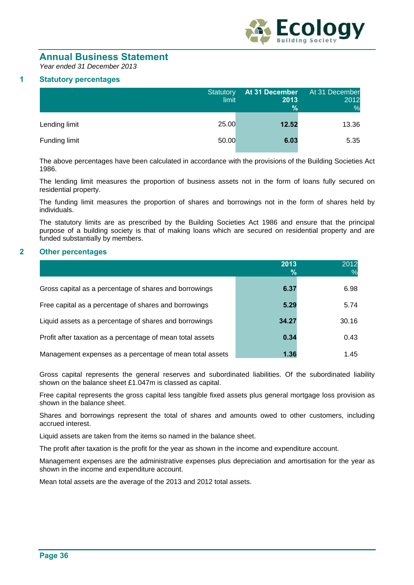

# **Annual Business Statement**

*Year ended 31 December 2013* 

#### **1 Statutory percentages**

|               | Statutory<br>limit | At 31 December<br>2013<br>$\%$ | At 31 December<br>2012<br>% |
|---------------|--------------------|--------------------------------|-----------------------------|
| Lending limit | 25.00              | 12.52                          | 13.36                       |
| Funding limit | 50.00              | 6.03                           | 5.35                        |

The above percentages have been calculated in accordance with the provisions of the Building Societies Act 1986.

The lending limit measures the proportion of business assets not in the form of loans fully secured on residential property.

The funding limit measures the proportion of shares and borrowings not in the form of shares held by individuals.

The statutory limits are as prescribed by the Building Societies Act 1986 and ensure that the principal purpose of a building society is that of making loans which are secured on residential property and are funded substantially by members.

#### **2 Other percentages**

|                                                            | 2013<br>% | 2012  |
|------------------------------------------------------------|-----------|-------|
| Gross capital as a percentage of shares and borrowings     | 6.37      | 6.98  |
| Free capital as a percentage of shares and borrowings      | 5.29      | 5.74  |
| Liquid assets as a percentage of shares and borrowings     | 34.27     | 30.16 |
| Profit after taxation as a percentage of mean total assets | 0.34      | 0.43  |
| Management expenses as a percentage of mean total assets   | 1.36      | 1.45  |

Gross capital represents the general reserves and subordinated liabilities. Of the subordinated liability shown on the balance sheet £1.047m is classed as capital.

Free capital represents the gross capital less tangible fixed assets plus general mortgage loss provision as shown in the balance sheet.

Shares and borrowings represent the total of shares and amounts owed to other customers, including accrued interest.

Liquid assets are taken from the items so named in the balance sheet.

The profit after taxation is the profit for the year as shown in the income and expenditure account.

Management expenses are the administrative expenses plus depreciation and amortisation for the year as shown in the income and expenditure account.

Mean total assets are the average of the 2013 and 2012 total assets.